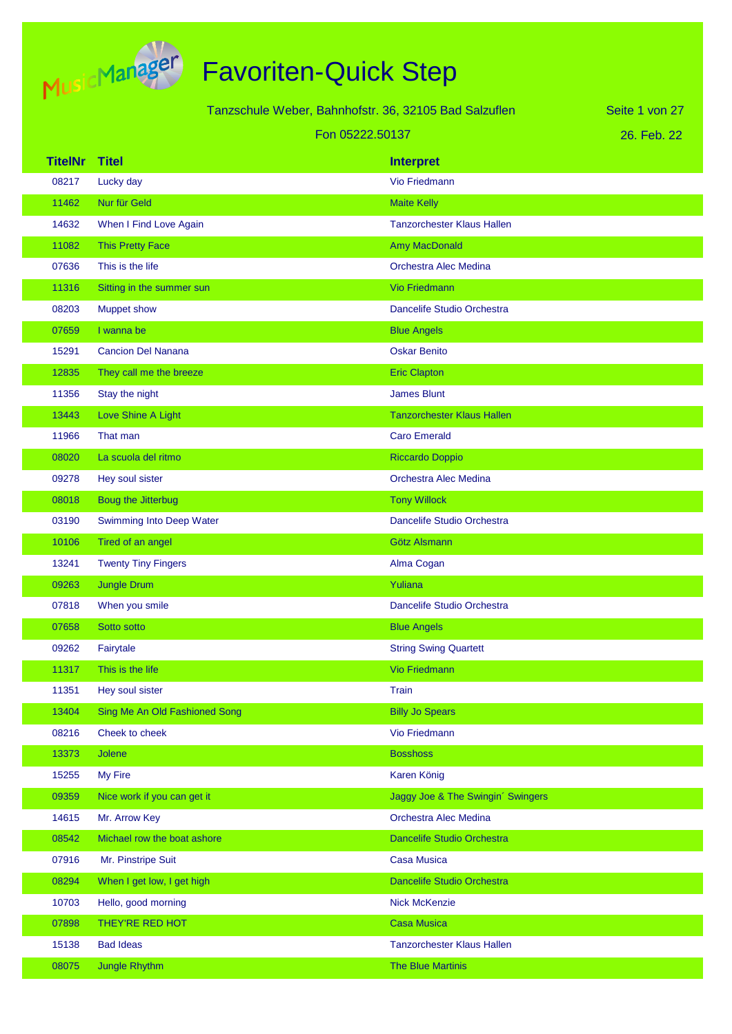

|                | Tanzschule Weber, Bahnhofstr. 36, 32105 Bad Salzuflen<br>Seite 1 von 27 |                                   |             |
|----------------|-------------------------------------------------------------------------|-----------------------------------|-------------|
|                |                                                                         | Fon 05222.50137                   | 26. Feb. 22 |
| <b>TitelNr</b> | <b>Titel</b>                                                            | <b>Interpret</b>                  |             |
| 08217          | Lucky day                                                               | <b>Vio Friedmann</b>              |             |
| 11462          | Nur für Geld                                                            | <b>Maite Kelly</b>                |             |
| 14632          | When I Find Love Again                                                  | <b>Tanzorchester Klaus Hallen</b> |             |
| 11082          | <b>This Pretty Face</b>                                                 | <b>Amy MacDonald</b>              |             |
| 07636          | This is the life                                                        | Orchestra Alec Medina             |             |
| 11316          | Sitting in the summer sun                                               | <b>Vio Friedmann</b>              |             |
| 08203          | <b>Muppet show</b>                                                      | Dancelife Studio Orchestra        |             |
| 07659          | I wanna be                                                              | <b>Blue Angels</b>                |             |
| 15291          | <b>Cancion Del Nanana</b>                                               | <b>Oskar Benito</b>               |             |
| 12835          | They call me the breeze                                                 | <b>Eric Clapton</b>               |             |
| 11356          | Stay the night                                                          | <b>James Blunt</b>                |             |
| 13443          | Love Shine A Light                                                      | <b>Tanzorchester Klaus Hallen</b> |             |
| 11966          | That man                                                                | <b>Caro Emerald</b>               |             |
| 08020          | La scuola del ritmo                                                     | <b>Riccardo Doppio</b>            |             |
| 09278          | Hey soul sister                                                         | Orchestra Alec Medina             |             |
| 08018          | <b>Boug the Jitterbug</b>                                               | <b>Tony Willock</b>               |             |
| 03190          | Swimming Into Deep Water                                                | Dancelife Studio Orchestra        |             |
| 10106          | Tired of an angel                                                       | Götz Alsmann                      |             |
| 13241          | <b>Twenty Tiny Fingers</b>                                              | Alma Cogan                        |             |
| 09263          | <b>Jungle Drum</b>                                                      | Yuliana                           |             |
| 07818          | When you smile                                                          | Dancelife Studio Orchestra        |             |
| 07658          | Sotto sotto                                                             | <b>Blue Angels</b>                |             |
| 09262          | Fairytale                                                               | <b>String Swing Quartett</b>      |             |
| 11317          | This is the life                                                        | Vio Friedmann                     |             |
| 11351          | Hey soul sister                                                         | Train                             |             |
| 13404          | Sing Me An Old Fashioned Song                                           | <b>Billy Jo Spears</b>            |             |
| 08216          | Cheek to cheek                                                          | Vio Friedmann                     |             |
| 13373          | Jolene                                                                  | <b>Bosshoss</b>                   |             |
| 15255          | My Fire                                                                 | Karen König                       |             |
| 09359          | Nice work if you can get it                                             | Jaggy Joe & The Swingin' Swingers |             |
| 14615          | Mr. Arrow Key                                                           | Orchestra Alec Medina             |             |
| 08542          | Michael row the boat ashore                                             | Dancelife Studio Orchestra        |             |
| 07916          | Mr. Pinstripe Suit                                                      | <b>Casa Musica</b>                |             |
| 08294          | When I get low, I get high                                              | Dancelife Studio Orchestra        |             |
| 10703          | Hello, good morning                                                     | <b>Nick McKenzie</b>              |             |
| 07898          | THEY'RE RED HOT                                                         | <b>Casa Musica</b>                |             |
| 15138          | <b>Bad Ideas</b>                                                        | <b>Tanzorchester Klaus Hallen</b> |             |
| 08075          | Jungle Rhythm                                                           | The Blue Martinis                 |             |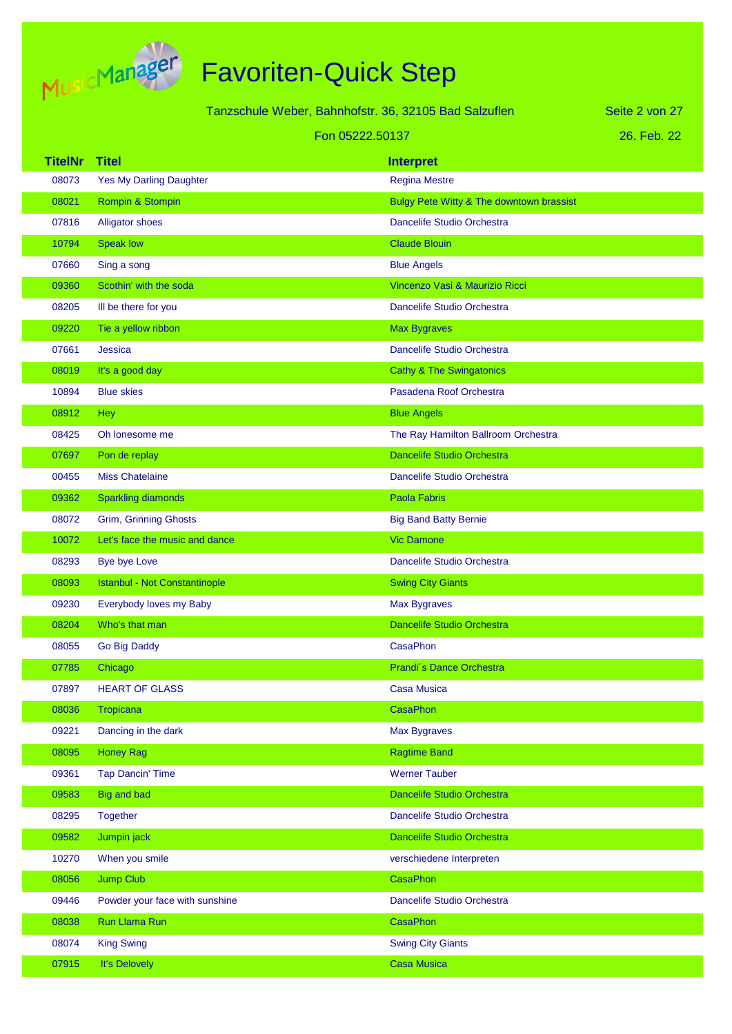

| Tanzschule Weber, Bahnhofstr. 36, 32105 Bad Salzuflen |                                      |                                          | Seite 2 von 27 |
|-------------------------------------------------------|--------------------------------------|------------------------------------------|----------------|
|                                                       | Fon 05222.50137                      |                                          | 26. Feb. 22    |
| <b>TitelNr</b>                                        | <b>Titel</b>                         | <b>Interpret</b>                         |                |
| 08073                                                 | <b>Yes My Darling Daughter</b>       | <b>Regina Mestre</b>                     |                |
| 08021                                                 | Rompin & Stompin                     | Bulgy Pete Witty & The downtown brassist |                |
| 07816                                                 | <b>Alligator shoes</b>               | Dancelife Studio Orchestra               |                |
| 10794                                                 | <b>Speak low</b>                     | <b>Claude Blouin</b>                     |                |
| 07660                                                 | Sing a song                          | <b>Blue Angels</b>                       |                |
| 09360                                                 | Scothin' with the soda               | Vincenzo Vasi & Maurizio Ricci           |                |
| 08205                                                 | Ill be there for you                 | Dancelife Studio Orchestra               |                |
| 09220                                                 | Tie a yellow ribbon                  | <b>Max Bygraves</b>                      |                |
| 07661                                                 | Jessica                              | Dancelife Studio Orchestra               |                |
| 08019                                                 | It's a good day                      | <b>Cathy &amp; The Swingatonics</b>      |                |
| 10894                                                 | <b>Blue skies</b>                    | Pasadena Roof Orchestra                  |                |
| 08912                                                 | <b>Hey</b>                           | <b>Blue Angels</b>                       |                |
| 08425                                                 | Oh lonesome me                       | The Ray Hamilton Ballroom Orchestra      |                |
| 07697                                                 | Pon de replay                        | <b>Dancelife Studio Orchestra</b>        |                |
| 00455                                                 | <b>Miss Chatelaine</b>               | Dancelife Studio Orchestra               |                |
| 09362                                                 | <b>Sparkling diamonds</b>            | <b>Paola Fabris</b>                      |                |
| 08072                                                 | <b>Grim, Grinning Ghosts</b>         | <b>Big Band Batty Bernie</b>             |                |
| 10072                                                 | Let's face the music and dance       | <b>Vic Damone</b>                        |                |
| 08293                                                 | Bye bye Love                         | Dancelife Studio Orchestra               |                |
| 08093                                                 | <b>Istanbul - Not Constantinople</b> | <b>Swing City Giants</b>                 |                |
| 09230                                                 | Everybody loves my Baby              | Max Bygraves                             |                |
| 08204                                                 | Who's that man                       | <b>Dancelife Studio Orchestra</b>        |                |
| 08055                                                 | Go Big Daddy                         | CasaPhon                                 |                |
| 07785                                                 | Chicago                              | Prandi's Dance Orchestra                 |                |
| 07897                                                 | <b>HEART OF GLASS</b>                | <b>Casa Musica</b>                       |                |
| 08036                                                 | Tropicana                            | <b>CasaPhon</b>                          |                |
| 09221                                                 | Dancing in the dark                  | <b>Max Bygraves</b>                      |                |
| 08095                                                 | <b>Honey Rag</b>                     | <b>Ragtime Band</b>                      |                |
| 09361                                                 | <b>Tap Dancin' Time</b>              | <b>Werner Tauber</b>                     |                |
| 09583                                                 | Big and bad                          | Dancelife Studio Orchestra               |                |
| 08295                                                 | <b>Together</b>                      | Dancelife Studio Orchestra               |                |
| 09582                                                 | Jumpin jack                          | Dancelife Studio Orchestra               |                |
| 10270                                                 | When you smile                       | verschiedene Interpreten                 |                |
| 08056                                                 | <b>Jump Club</b>                     | <b>CasaPhon</b>                          |                |
| 09446                                                 | Powder your face with sunshine       | Dancelife Studio Orchestra               |                |
| 08038                                                 | Run Llama Run                        | CasaPhon                                 |                |
| 08074                                                 | <b>King Swing</b>                    | <b>Swing City Giants</b>                 |                |
| 07915                                                 | It's Delovely                        | <b>Casa Musica</b>                       |                |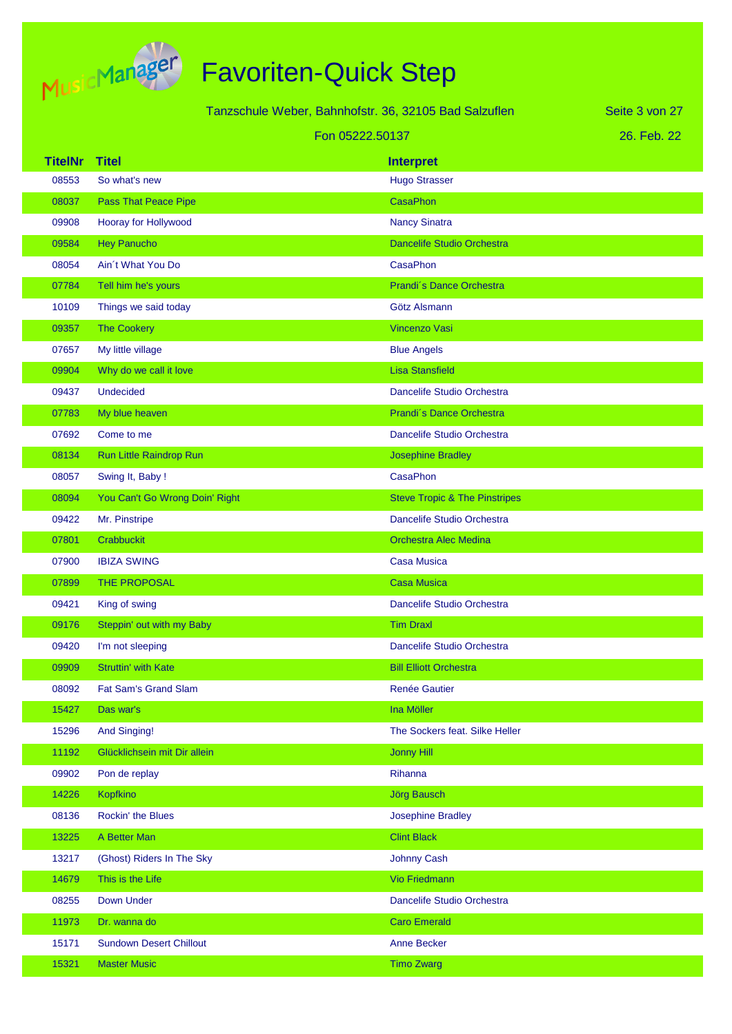

|                |                                | Tanzschule Weber, Bahnhofstr. 36, 32105 Bad Salzuflen | Seite 3 von 27 |
|----------------|--------------------------------|-------------------------------------------------------|----------------|
|                |                                | Fon 05222.50137                                       | 26. Feb. 22    |
| <b>TitelNr</b> | <b>Titel</b>                   | <b>Interpret</b>                                      |                |
| 08553          | So what's new                  | <b>Hugo Strasser</b>                                  |                |
| 08037          | <b>Pass That Peace Pipe</b>    | <b>CasaPhon</b>                                       |                |
| 09908          | Hooray for Hollywood           | <b>Nancy Sinatra</b>                                  |                |
| 09584          | <b>Hey Panucho</b>             | Dancelife Studio Orchestra                            |                |
| 08054          | Ain't What You Do              | <b>CasaPhon</b>                                       |                |
| 07784          | Tell him he's yours            | Prandi's Dance Orchestra                              |                |
| 10109          | Things we said today           | Götz Alsmann                                          |                |
| 09357          | <b>The Cookery</b>             | Vincenzo Vasi                                         |                |
| 07657          | My little village              | <b>Blue Angels</b>                                    |                |
| 09904          | Why do we call it love         | <b>Lisa Stansfield</b>                                |                |
| 09437          | <b>Undecided</b>               | Dancelife Studio Orchestra                            |                |
| 07783          | My blue heaven                 | Prandi's Dance Orchestra                              |                |
| 07692          | Come to me                     | Dancelife Studio Orchestra                            |                |
| 08134          | Run Little Raindrop Run        | <b>Josephine Bradley</b>                              |                |
| 08057          | Swing It, Baby!                | <b>CasaPhon</b>                                       |                |
| 08094          | You Can't Go Wrong Doin' Right | <b>Steve Tropic &amp; The Pinstripes</b>              |                |
| 09422          | Mr. Pinstripe                  | Dancelife Studio Orchestra                            |                |
| 07801          | Crabbuckit                     | <b>Orchestra Alec Medina</b>                          |                |
| 07900          | <b>IBIZA SWING</b>             | <b>Casa Musica</b>                                    |                |
| 07899          | THE PROPOSAL                   | <b>Casa Musica</b>                                    |                |
| 09421          | King of swing                  | Dancelife Studio Orchestra                            |                |
| 09176          | Steppin' out with my Baby      | <b>Tim Draxl</b>                                      |                |
| 09420          | I'm not sleeping               | Dancelife Studio Orchestra                            |                |
| 09909          | Struttin' with Kate            | <b>Bill Elliott Orchestra</b>                         |                |
| 08092          | <b>Fat Sam's Grand Slam</b>    | Renée Gautier                                         |                |
| 15427          | Das war's                      | Ina Möller                                            |                |
| 15296          | <b>And Singing!</b>            | The Sockers feat. Silke Heller                        |                |
| 11192          | Glücklichsein mit Dir allein   | <b>Jonny Hill</b>                                     |                |
| 09902          | Pon de replay                  | Rihanna                                               |                |
| 14226          | Kopfkino                       | <b>Jörg Bausch</b>                                    |                |
| 08136          | Rockin' the Blues              | <b>Josephine Bradley</b>                              |                |
| 13225          | A Better Man                   | <b>Clint Black</b>                                    |                |
| 13217          | (Ghost) Riders In The Sky      | <b>Johnny Cash</b>                                    |                |
| 14679          | This is the Life               | Vio Friedmann                                         |                |
| 08255          | Down Under                     | Dancelife Studio Orchestra                            |                |
| 11973          | Dr. wanna do                   | <b>Caro Emerald</b>                                   |                |
| 15171          | <b>Sundown Desert Chillout</b> | <b>Anne Becker</b>                                    |                |
| 15321          | <b>Master Music</b>            | <b>Timo Zwarg</b>                                     |                |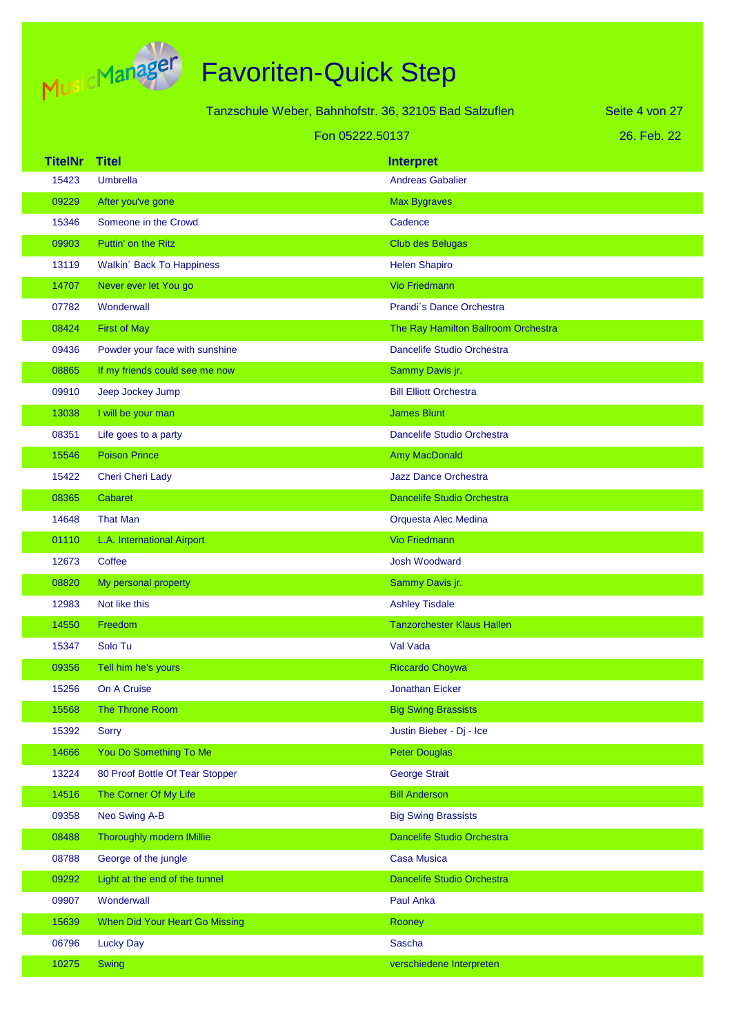

| Tanzschule Weber, Bahnhofstr. 36, 32105 Bad Salzuflen |                                  |                                     | Seite 4 von 27 |
|-------------------------------------------------------|----------------------------------|-------------------------------------|----------------|
|                                                       | Fon 05222.50137                  |                                     | 26. Feb. 22    |
| <b>TitelNr</b>                                        | <b>Titel</b>                     | <b>Interpret</b>                    |                |
| 15423                                                 | <b>Umbrella</b>                  | <b>Andreas Gabalier</b>             |                |
| 09229                                                 | After you've gone                | <b>Max Bygraves</b>                 |                |
| 15346                                                 | Someone in the Crowd             | Cadence                             |                |
| 09903                                                 | Puttin' on the Ritz              | Club des Belugas                    |                |
| 13119                                                 | Walkin' Back To Happiness        | <b>Helen Shapiro</b>                |                |
| 14707                                                 | Never ever let You go            | <b>Vio Friedmann</b>                |                |
| 07782                                                 | Wonderwall                       | Prandi's Dance Orchestra            |                |
| 08424                                                 | <b>First of May</b>              | The Ray Hamilton Ballroom Orchestra |                |
| 09436                                                 | Powder your face with sunshine   | Dancelife Studio Orchestra          |                |
| 08865                                                 | If my friends could see me now   | Sammy Davis jr.                     |                |
| 09910                                                 | Jeep Jockey Jump                 | <b>Bill Elliott Orchestra</b>       |                |
| 13038                                                 | I will be your man               | <b>James Blunt</b>                  |                |
| 08351                                                 | Life goes to a party             | Dancelife Studio Orchestra          |                |
| 15546                                                 | <b>Poison Prince</b>             | Amy MacDonald                       |                |
| 15422                                                 | Cheri Cheri Lady                 | <b>Jazz Dance Orchestra</b>         |                |
| 08365                                                 | Cabaret                          | <b>Dancelife Studio Orchestra</b>   |                |
| 14648                                                 | <b>That Man</b>                  | Orquesta Alec Medina                |                |
| 01110                                                 | L.A. International Airport       | <b>Vio Friedmann</b>                |                |
| 12673                                                 | Coffee                           | <b>Josh Woodward</b>                |                |
| 08820                                                 | My personal property             | Sammy Davis jr.                     |                |
| 12983                                                 | Not like this                    | <b>Ashley Tisdale</b>               |                |
| 14550                                                 | Freedom                          | <b>Tanzorchester Klaus Hallen</b>   |                |
| 15347                                                 | Solo Tu                          | Val Vada                            |                |
| 09356                                                 | Tell him he's yours              | <b>Riccardo Choywa</b>              |                |
| 15256                                                 | On A Cruise                      | <b>Jonathan Eicker</b>              |                |
| 15568                                                 | The Throne Room                  | <b>Big Swing Brassists</b>          |                |
| 15392                                                 | <b>Sorry</b>                     | Justin Bieber - Dj - Ice            |                |
| 14666                                                 | You Do Something To Me           | <b>Peter Douglas</b>                |                |
| 13224                                                 | 80 Proof Bottle Of Tear Stopper  | <b>George Strait</b>                |                |
| 14516                                                 | The Corner Of My Life            | <b>Bill Anderson</b>                |                |
| 09358                                                 | Neo Swing A-B                    | <b>Big Swing Brassists</b>          |                |
| 08488                                                 | <b>Thoroughly modern IMillie</b> | Dancelife Studio Orchestra          |                |
| 08788                                                 | George of the jungle             | <b>Casa Musica</b>                  |                |
| 09292                                                 | Light at the end of the tunnel   | Dancelife Studio Orchestra          |                |
| 09907                                                 | Wonderwall                       | Paul Anka                           |                |
| 15639                                                 | When Did Your Heart Go Missing   | Rooney                              |                |
| 06796                                                 | <b>Lucky Day</b>                 | <b>Sascha</b>                       |                |
| 10275                                                 | <b>Swing</b>                     | verschiedene Interpreten            |                |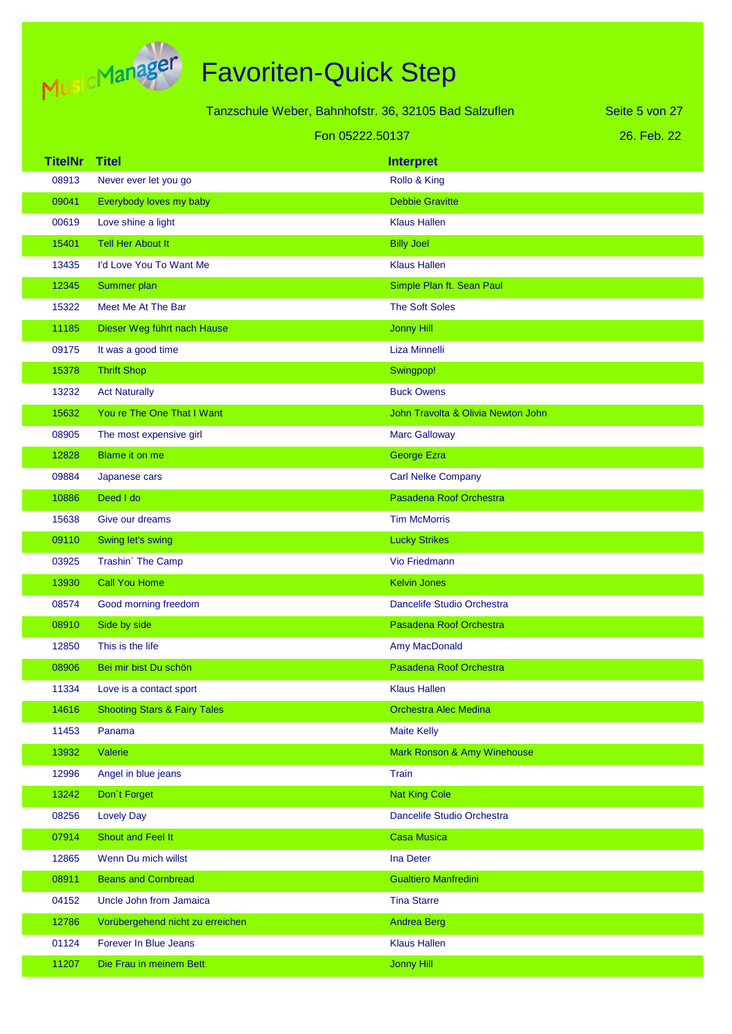

| Tanzschule Weber, Bahnhofstr. 36, 32105 Bad Salzuflen |                                         |                                    | Seite 5 von 27 |
|-------------------------------------------------------|-----------------------------------------|------------------------------------|----------------|
|                                                       |                                         | Fon 05222.50137                    | 26. Feb. 22    |
| <b>TitelNr</b>                                        | <b>Titel</b>                            | <b>Interpret</b>                   |                |
| 08913                                                 | Never ever let you go                   | Rollo & King                       |                |
| 09041                                                 | Everybody loves my baby                 | <b>Debbie Gravitte</b>             |                |
| 00619                                                 | Love shine a light                      | <b>Klaus Hallen</b>                |                |
| 15401                                                 | <b>Tell Her About It</b>                | <b>Billy Joel</b>                  |                |
| 13435                                                 | I'd Love You To Want Me                 | <b>Klaus Hallen</b>                |                |
| 12345                                                 | Summer plan                             | Simple Plan ft. Sean Paul          |                |
| 15322                                                 | Meet Me At The Bar                      | <b>The Soft Soles</b>              |                |
| 11185                                                 | Dieser Weg führt nach Hause             | <b>Jonny Hill</b>                  |                |
| 09175                                                 | It was a good time                      | Liza Minnelli                      |                |
| 15378                                                 | <b>Thrift Shop</b>                      | Swingpop!                          |                |
| 13232                                                 | <b>Act Naturally</b>                    | <b>Buck Owens</b>                  |                |
| 15632                                                 | You re The One That I Want              | John Travolta & Olivia Newton John |                |
| 08905                                                 | The most expensive girl                 | <b>Marc Galloway</b>               |                |
| 12828                                                 | Blame it on me                          | George Ezra                        |                |
| 09884                                                 | Japanese cars                           | <b>Carl Nelke Company</b>          |                |
| 10886                                                 | Deed I do                               | Pasadena Roof Orchestra            |                |
| 15638                                                 | Give our dreams                         | <b>Tim McMorris</b>                |                |
| 09110                                                 | Swing let's swing                       | <b>Lucky Strikes</b>               |                |
| 03925                                                 | Trashin' The Camp                       | <b>Vio Friedmann</b>               |                |
| 13930                                                 | Call You Home                           | <b>Kelvin Jones</b>                |                |
| 08574                                                 | Good morning freedom                    | Dancelife Studio Orchestra         |                |
| 08910                                                 | Side by side                            | Pasadena Roof Orchestra            |                |
| 12850                                                 | This is the life                        | Amy MacDonald                      |                |
| 08906                                                 | Bei mir bist Du schön                   | Pasadena Roof Orchestra            |                |
| 11334                                                 | Love is a contact sport                 | <b>Klaus Hallen</b>                |                |
| 14616                                                 | <b>Shooting Stars &amp; Fairy Tales</b> | <b>Orchestra Alec Medina</b>       |                |
| 11453                                                 | Panama                                  | <b>Maite Kelly</b>                 |                |
| 13932                                                 | Valerie                                 | Mark Ronson & Amy Winehouse        |                |
| 12996                                                 | Angel in blue jeans                     | Train                              |                |
| 13242                                                 | Don't Forget                            | <b>Nat King Cole</b>               |                |
| 08256                                                 | <b>Lovely Day</b>                       | Dancelife Studio Orchestra         |                |
| 07914                                                 | Shout and Feel It                       | <b>Casa Musica</b>                 |                |
| 12865                                                 | Wenn Du mich willst                     | Ina Deter                          |                |
| 08911                                                 | <b>Beans and Cornbread</b>              | <b>Gualtiero Manfredini</b>        |                |
| 04152                                                 | Uncle John from Jamaica                 | <b>Tina Starre</b>                 |                |
| 12786                                                 | Vorübergehend nicht zu erreichen        | <b>Andrea Berg</b>                 |                |
| 01124                                                 | Forever In Blue Jeans                   | <b>Klaus Hallen</b>                |                |
| 11207                                                 | Die Frau in meinem Bett                 | <b>Jonny Hill</b>                  |                |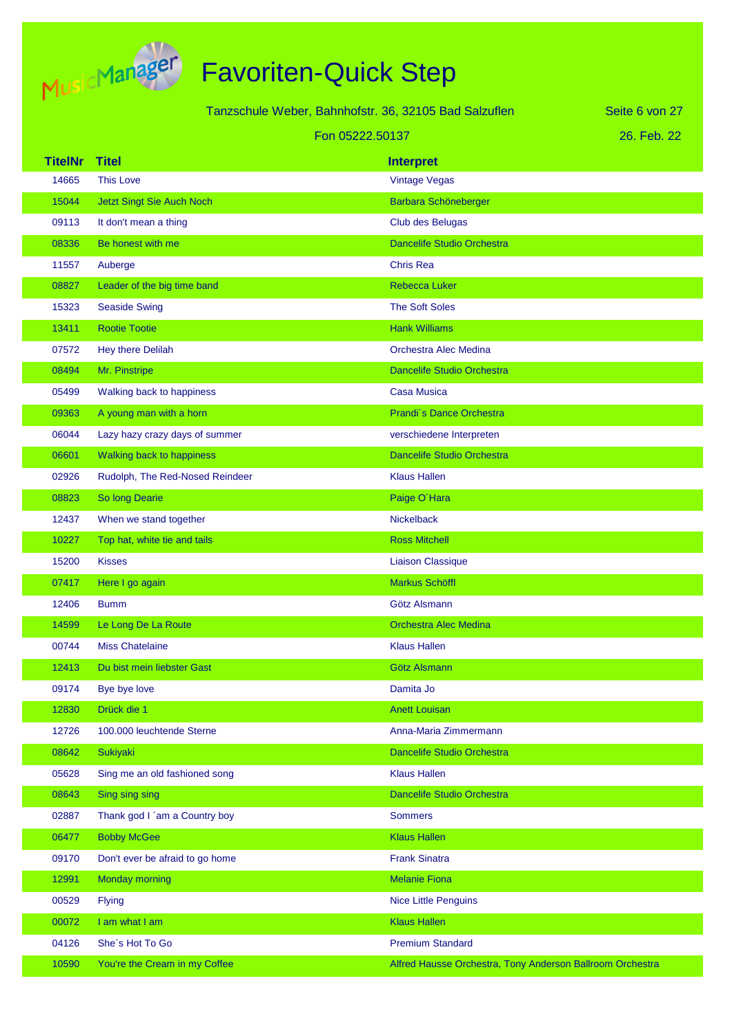

|                |                                  | Tanzschule Weber, Bahnhofstr. 36, 32105 Bad Salzuflen     | Seite 6 von 27 |
|----------------|----------------------------------|-----------------------------------------------------------|----------------|
|                | Fon 05222.50137                  |                                                           | 26. Feb. 22    |
| <b>TitelNr</b> | <b>Titel</b>                     | <b>Interpret</b>                                          |                |
| 14665          | <b>This Love</b>                 | <b>Vintage Vegas</b>                                      |                |
| 15044          | <b>Jetzt Singt Sie Auch Noch</b> | Barbara Schöneberger                                      |                |
| 09113          | It don't mean a thing            | Club des Belugas                                          |                |
| 08336          | Be honest with me                | <b>Dancelife Studio Orchestra</b>                         |                |
| 11557          | Auberge                          | <b>Chris Rea</b>                                          |                |
| 08827          | Leader of the big time band      | <b>Rebecca Luker</b>                                      |                |
| 15323          | <b>Seaside Swing</b>             | <b>The Soft Soles</b>                                     |                |
| 13411          | <b>Rootie Tootie</b>             | <b>Hank Williams</b>                                      |                |
| 07572          | Hey there Delilah                | Orchestra Alec Medina                                     |                |
| 08494          | Mr. Pinstripe                    | <b>Dancelife Studio Orchestra</b>                         |                |
| 05499          | Walking back to happiness        | <b>Casa Musica</b>                                        |                |
| 09363          | A young man with a horn          | Prandi's Dance Orchestra                                  |                |
| 06044          | Lazy hazy crazy days of summer   | verschiedene Interpreten                                  |                |
| 06601          | Walking back to happiness        | <b>Dancelife Studio Orchestra</b>                         |                |
| 02926          | Rudolph, The Red-Nosed Reindeer  | <b>Klaus Hallen</b>                                       |                |
| 08823          | So long Dearie                   | Paige O'Hara                                              |                |
| 12437          | When we stand together           | <b>Nickelback</b>                                         |                |
| 10227          | Top hat, white tie and tails     | <b>Ross Mitchell</b>                                      |                |
| 15200          | <b>Kisses</b>                    | <b>Liaison Classique</b>                                  |                |
| 07417          | Here I go again                  | Markus Schöffl                                            |                |
| 12406          | <b>Bumm</b>                      | Götz Alsmann                                              |                |
| 14599          | Le Long De La Route              | <b>Orchestra Alec Medina</b>                              |                |
| 00744          | <b>Miss Chatelaine</b>           | <b>Klaus Hallen</b>                                       |                |
| 12413          | Du bist mein liebster Gast       | Götz Alsmann                                              |                |
| 09174          | Bye bye love                     | Damita Jo                                                 |                |
| 12830          | Drück die 1                      | <b>Anett Louisan</b>                                      |                |
| 12726          | 100.000 leuchtende Sterne        | Anna-Maria Zimmermann                                     |                |
| 08642          | Sukiyaki                         | <b>Dancelife Studio Orchestra</b>                         |                |
| 05628          | Sing me an old fashioned song    | <b>Klaus Hallen</b>                                       |                |
| 08643          | Sing sing sing                   | <b>Dancelife Studio Orchestra</b>                         |                |
| 02887          | Thank god I 'am a Country boy    | <b>Sommers</b>                                            |                |
| 06477          | <b>Bobby McGee</b>               | <b>Klaus Hallen</b>                                       |                |
| 09170          | Don't ever be afraid to go home  | <b>Frank Sinatra</b>                                      |                |
| 12991          | <b>Monday morning</b>            | <b>Melanie Fiona</b>                                      |                |
| 00529          | <b>Flying</b>                    | <b>Nice Little Penguins</b>                               |                |
| 00072          | I am what I am                   | <b>Klaus Hallen</b>                                       |                |
| 04126          | She's Hot To Go                  | <b>Premium Standard</b>                                   |                |
| 10590          | You're the Cream in my Coffee    | Alfred Hausse Orchestra, Tony Anderson Ballroom Orchestra |                |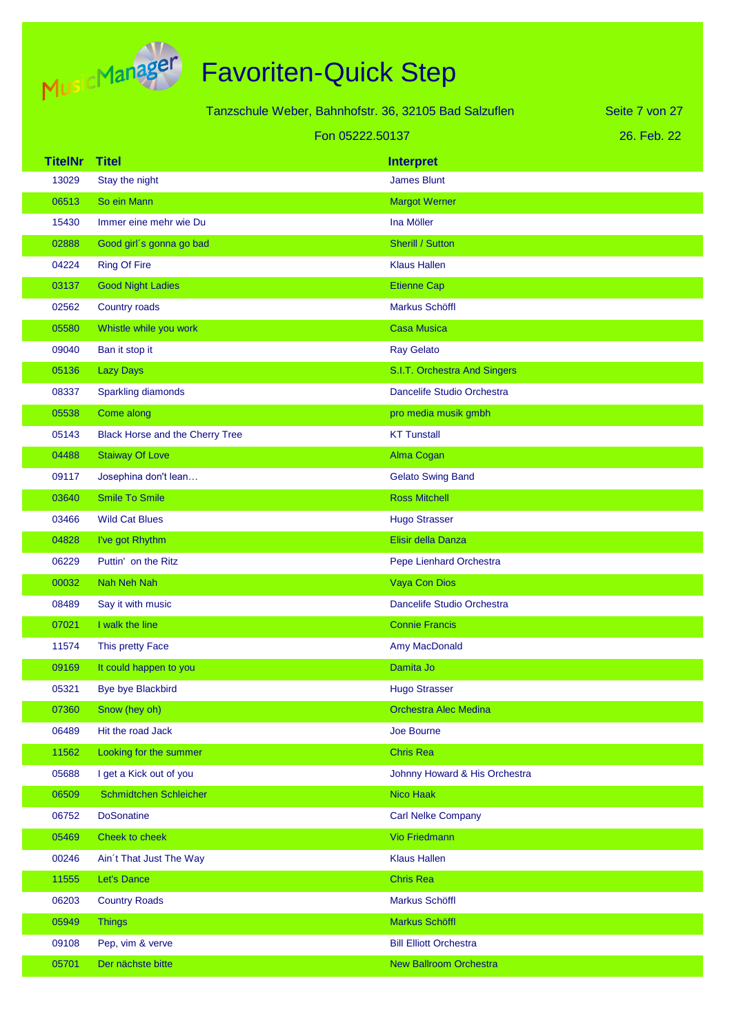

| Tanzschule Weber, Bahnhofstr. 36, 32105 Bad Salzuflen |                                 |                               | Seite 7 von 27 |
|-------------------------------------------------------|---------------------------------|-------------------------------|----------------|
| Fon 05222.50137                                       |                                 |                               | 26. Feb. 22    |
| <b>TitelNr</b>                                        | <b>Titel</b>                    | <b>Interpret</b>              |                |
| 13029                                                 | Stay the night                  | <b>James Blunt</b>            |                |
| 06513                                                 | So ein Mann                     | <b>Margot Werner</b>          |                |
| 15430                                                 | Immer eine mehr wie Du          | Ina Möller                    |                |
| 02888                                                 | Good girl's gonna go bad        | <b>Sherill / Sutton</b>       |                |
| 04224                                                 | <b>Ring Of Fire</b>             | <b>Klaus Hallen</b>           |                |
| 03137                                                 | <b>Good Night Ladies</b>        | <b>Etienne Cap</b>            |                |
| 02562                                                 | Country roads                   | Markus Schöffl                |                |
| 05580                                                 | Whistle while you work          | <b>Casa Musica</b>            |                |
| 09040                                                 | Ban it stop it                  | <b>Ray Gelato</b>             |                |
| 05136                                                 | <b>Lazy Days</b>                | S.I.T. Orchestra And Singers  |                |
| 08337                                                 | <b>Sparkling diamonds</b>       | Dancelife Studio Orchestra    |                |
| 05538                                                 | Come along                      | pro media musik gmbh          |                |
| 05143                                                 | Black Horse and the Cherry Tree | <b>KT Tunstall</b>            |                |
| 04488                                                 | <b>Staiway Of Love</b>          | Alma Cogan                    |                |
| 09117                                                 | Josephina don't lean            | <b>Gelato Swing Band</b>      |                |
| 03640                                                 | <b>Smile To Smile</b>           | <b>Ross Mitchell</b>          |                |
| 03466                                                 | <b>Wild Cat Blues</b>           | <b>Hugo Strasser</b>          |                |
| 04828                                                 | I've got Rhythm                 | Elisir della Danza            |                |
| 06229                                                 | Puttin' on the Ritz             | Pepe Lienhard Orchestra       |                |
| 00032                                                 | <b>Nah Neh Nah</b>              | <b>Vaya Con Dios</b>          |                |
| 08489                                                 | Say it with music               | Dancelife Studio Orchestra    |                |
| 07021                                                 | I walk the line                 | <b>Connie Francis</b>         |                |
| 11574                                                 | This pretty Face                | Amy MacDonald                 |                |
| 09169                                                 | It could happen to you          | Damita Jo                     |                |
| 05321                                                 | <b>Bye bye Blackbird</b>        | <b>Hugo Strasser</b>          |                |
| 07360                                                 | Snow (hey oh)                   | <b>Orchestra Alec Medina</b>  |                |
| 06489                                                 | Hit the road Jack               | Joe Bourne                    |                |
| 11562                                                 | Looking for the summer          | <b>Chris Rea</b>              |                |
| 05688                                                 | I get a Kick out of you         | Johnny Howard & His Orchestra |                |
| 06509                                                 | Schmidtchen Schleicher          | Nico Haak                     |                |
| 06752                                                 | <b>DoSonatine</b>               | <b>Carl Nelke Company</b>     |                |
| 05469                                                 | Cheek to cheek                  | <b>Vio Friedmann</b>          |                |
| 00246                                                 | Ain't That Just The Way         | <b>Klaus Hallen</b>           |                |
| 11555                                                 | Let's Dance                     | <b>Chris Rea</b>              |                |
| 06203                                                 | <b>Country Roads</b>            | Markus Schöffl                |                |
| 05949                                                 | <b>Things</b>                   | Markus Schöffl                |                |
| 09108                                                 | Pep, vim & verve                | <b>Bill Elliott Orchestra</b> |                |
| 05701                                                 | Der nächste bitte               | <b>New Ballroom Orchestra</b> |                |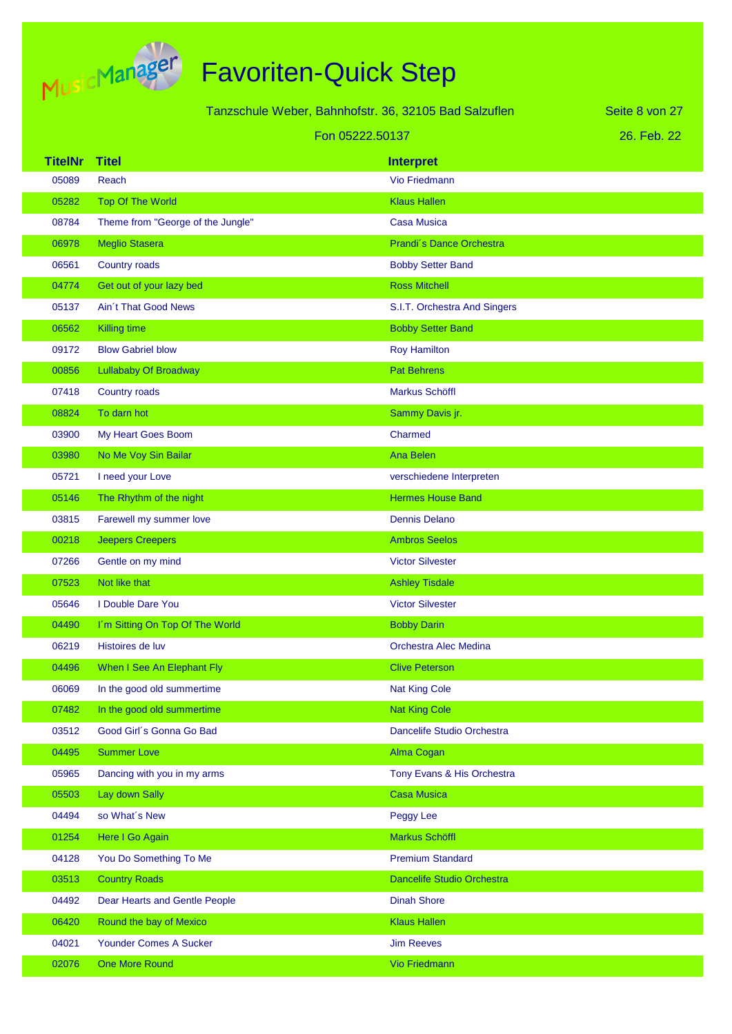

|                | Tanzschule Weber, Bahnhofstr. 36, 32105 Bad Salzuflen | Seite 8 von 27               |             |
|----------------|-------------------------------------------------------|------------------------------|-------------|
|                | Fon 05222.50137                                       |                              | 26. Feb. 22 |
| <b>TitelNr</b> | <b>Titel</b>                                          | <b>Interpret</b>             |             |
| 05089          | Reach                                                 | Vio Friedmann                |             |
| 05282          | <b>Top Of The World</b>                               | <b>Klaus Hallen</b>          |             |
| 08784          | Theme from "George of the Jungle"                     | <b>Casa Musica</b>           |             |
| 06978          | <b>Meglio Stasera</b>                                 | Prandi's Dance Orchestra     |             |
| 06561          | Country roads                                         | <b>Bobby Setter Band</b>     |             |
| 04774          | Get out of your lazy bed                              | <b>Ross Mitchell</b>         |             |
| 05137          | <b>Ain't That Good News</b>                           | S.I.T. Orchestra And Singers |             |
| 06562          | <b>Killing time</b>                                   | <b>Bobby Setter Band</b>     |             |
| 09172          | <b>Blow Gabriel blow</b>                              | <b>Roy Hamilton</b>          |             |
| 00856          | <b>Lullababy Of Broadway</b>                          | <b>Pat Behrens</b>           |             |
| 07418          | Country roads                                         | <b>Markus Schöffl</b>        |             |
| 08824          | To darn hot                                           | Sammy Davis jr.              |             |
| 03900          | My Heart Goes Boom                                    | Charmed                      |             |
| 03980          | No Me Voy Sin Bailar                                  | <b>Ana Belen</b>             |             |
| 05721          | I need your Love                                      | verschiedene Interpreten     |             |
| 05146          | The Rhythm of the night                               | <b>Hermes House Band</b>     |             |
| 03815          | Farewell my summer love                               | <b>Dennis Delano</b>         |             |
| 00218          | <b>Jeepers Creepers</b>                               | <b>Ambros Seelos</b>         |             |
| 07266          | Gentle on my mind                                     | <b>Victor Silvester</b>      |             |
| 07523          | Not like that                                         | <b>Ashley Tisdale</b>        |             |
| 05646          | I Double Dare You                                     | <b>Victor Silvester</b>      |             |
| 04490          | I'm Sitting On Top Of The World                       | <b>Bobby Darin</b>           |             |
| 06219          | Histoires de luv                                      | Orchestra Alec Medina        |             |
| 04496          | When I See An Elephant Fly                            | <b>Clive Peterson</b>        |             |
| 06069          | In the good old summertime                            | <b>Nat King Cole</b>         |             |
| 07482          | In the good old summertime                            | <b>Nat King Cole</b>         |             |
| 03512          | Good Girl's Gonna Go Bad                              | Dancelife Studio Orchestra   |             |
| 04495          | <b>Summer Love</b>                                    | Alma Cogan                   |             |
| 05965          | Dancing with you in my arms                           | Tony Evans & His Orchestra   |             |
| 05503          | Lay down Sally                                        | <b>Casa Musica</b>           |             |
| 04494          | so What's New                                         | Peggy Lee                    |             |
| 01254          | Here I Go Again                                       | Markus Schöffl               |             |
| 04128          | You Do Something To Me                                | <b>Premium Standard</b>      |             |
| 03513          | <b>Country Roads</b>                                  | Dancelife Studio Orchestra   |             |
| 04492          | Dear Hearts and Gentle People                         | <b>Dinah Shore</b>           |             |
| 06420          | Round the bay of Mexico                               | <b>Klaus Hallen</b>          |             |
| 04021          | Younder Comes A Sucker                                | <b>Jim Reeves</b>            |             |
| 02076          | One More Round                                        | Vio Friedmann                |             |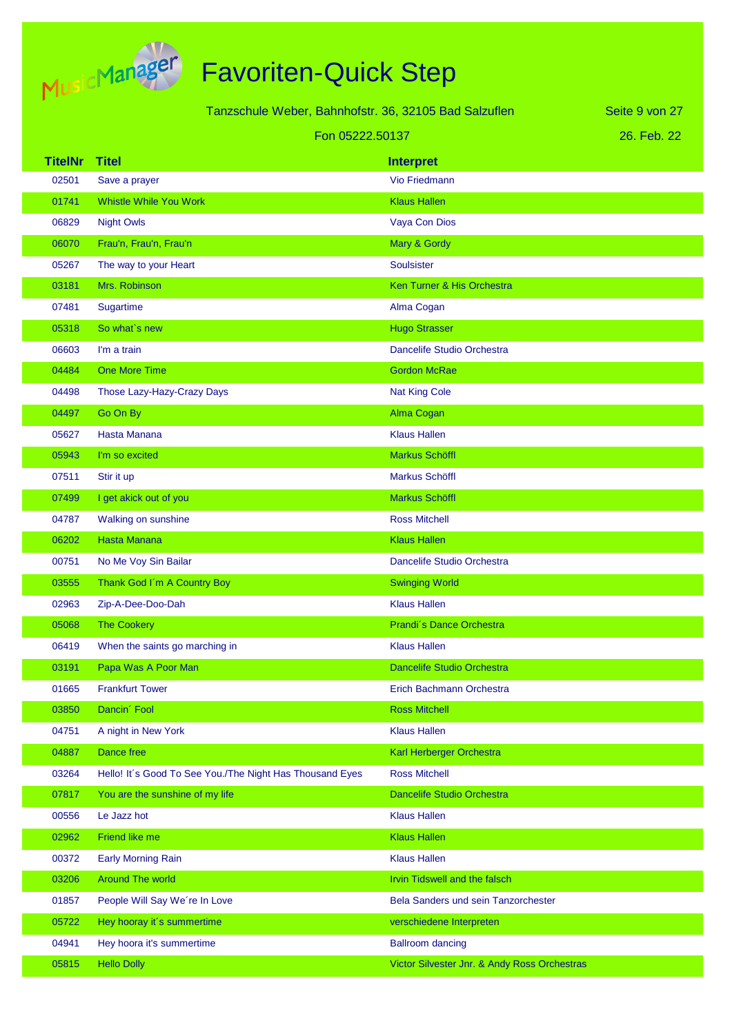

|                | Tanzschule Weber, Bahnhofstr. 36, 32105 Bad Salzuflen    |                                              | Seite 9 von 27 |
|----------------|----------------------------------------------------------|----------------------------------------------|----------------|
|                | Fon 05222.50137                                          |                                              | 26. Feb. 22    |
| <b>TitelNr</b> | <b>Titel</b>                                             | <b>Interpret</b>                             |                |
| 02501          | Save a prayer                                            | <b>Vio Friedmann</b>                         |                |
| 01741          | <b>Whistle While You Work</b>                            | <b>Klaus Hallen</b>                          |                |
| 06829          | <b>Night Owls</b>                                        | Vaya Con Dios                                |                |
| 06070          | Frau'n, Frau'n, Frau'n                                   | Mary & Gordy                                 |                |
| 05267          | The way to your Heart                                    | Soulsister                                   |                |
| 03181          | Mrs. Robinson                                            | Ken Turner & His Orchestra                   |                |
| 07481          | Sugartime                                                | Alma Cogan                                   |                |
| 05318          | So what's new                                            | <b>Hugo Strasser</b>                         |                |
| 06603          | I'm a train                                              | Dancelife Studio Orchestra                   |                |
| 04484          | One More Time                                            | <b>Gordon McRae</b>                          |                |
| 04498          | Those Lazy-Hazy-Crazy Days                               | <b>Nat King Cole</b>                         |                |
| 04497          | Go On By                                                 | Alma Cogan                                   |                |
| 05627          | <b>Hasta Manana</b>                                      | <b>Klaus Hallen</b>                          |                |
| 05943          | I'm so excited                                           | Markus Schöffl                               |                |
| 07511          | Stir it up                                               | Markus Schöffl                               |                |
| 07499          | I get akick out of you                                   | <b>Markus Schöffl</b>                        |                |
| 04787          | Walking on sunshine                                      | <b>Ross Mitchell</b>                         |                |
| 06202          | <b>Hasta Manana</b>                                      | <b>Klaus Hallen</b>                          |                |
| 00751          | No Me Voy Sin Bailar                                     | Dancelife Studio Orchestra                   |                |
| 03555          | Thank God I'm A Country Boy                              | <b>Swinging World</b>                        |                |
| 02963          | Zip-A-Dee-Doo-Dah                                        | <b>Klaus Hallen</b>                          |                |
| 05068          | <b>The Cookery</b>                                       | Prandi's Dance Orchestra                     |                |
| 06419          | When the saints go marching in                           | <b>Klaus Hallen</b>                          |                |
| 03191          | Papa Was A Poor Man                                      | <b>Dancelife Studio Orchestra</b>            |                |
| 01665          | <b>Frankfurt Tower</b>                                   | Erich Bachmann Orchestra                     |                |
| 03850          | Dancin' Fool                                             | <b>Ross Mitchell</b>                         |                |
| 04751          | A night in New York                                      | <b>Klaus Hallen</b>                          |                |
| 04887          | <b>Dance free</b>                                        | Karl Herberger Orchestra                     |                |
| 03264          | Hello! It's Good To See You./The Night Has Thousand Eyes | <b>Ross Mitchell</b>                         |                |
| 07817          | You are the sunshine of my life                          | Dancelife Studio Orchestra                   |                |
| 00556          | Le Jazz hot                                              | <b>Klaus Hallen</b>                          |                |
| 02962          | <b>Friend like me</b>                                    | <b>Klaus Hallen</b>                          |                |
| 00372          | <b>Early Morning Rain</b>                                | <b>Klaus Hallen</b>                          |                |
| 03206          | <b>Around The world</b>                                  | Irvin Tidswell and the falsch                |                |
| 01857          | People Will Say We're In Love                            | Bela Sanders und sein Tanzorchester          |                |
| 05722          | Hey hooray it's summertime                               | verschiedene Interpreten                     |                |
| 04941          | Hey hoora it's summertime                                | <b>Ballroom dancing</b>                      |                |
| 05815          | <b>Hello Dolly</b>                                       | Victor Silvester Jnr. & Andy Ross Orchestras |                |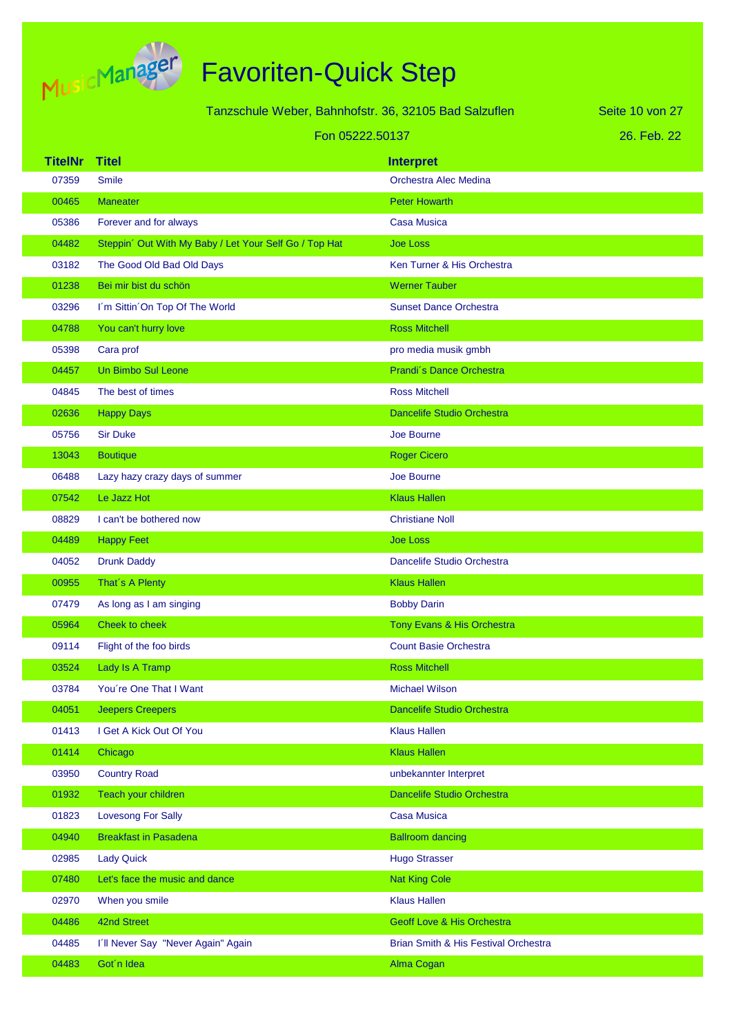

|                | Tanzschule Weber, Bahnhofstr. 36, 32105 Bad Salzuflen  |                                       | Seite 10 von 27 |
|----------------|--------------------------------------------------------|---------------------------------------|-----------------|
|                | Fon 05222.50137                                        |                                       | 26. Feb. 22     |
| <b>TitelNr</b> | <b>Titel</b>                                           | <b>Interpret</b>                      |                 |
| 07359          | <b>Smile</b>                                           | Orchestra Alec Medina                 |                 |
| 00465          | <b>Maneater</b>                                        | <b>Peter Howarth</b>                  |                 |
| 05386          | Forever and for always                                 | <b>Casa Musica</b>                    |                 |
| 04482          | Steppin' Out With My Baby / Let Your Self Go / Top Hat | <b>Joe Loss</b>                       |                 |
| 03182          | The Good Old Bad Old Days                              | Ken Turner & His Orchestra            |                 |
| 01238          | Bei mir bist du schön                                  | <b>Werner Tauber</b>                  |                 |
| 03296          | I'm Sittin 'On Top Of The World                        | <b>Sunset Dance Orchestra</b>         |                 |
| 04788          | You can't hurry love                                   | <b>Ross Mitchell</b>                  |                 |
| 05398          | Cara prof                                              | pro media musik gmbh                  |                 |
| 04457          | Un Bimbo Sul Leone                                     | Prandi's Dance Orchestra              |                 |
| 04845          | The best of times                                      | <b>Ross Mitchell</b>                  |                 |
| 02636          | <b>Happy Days</b>                                      | <b>Dancelife Studio Orchestra</b>     |                 |
| 05756          | <b>Sir Duke</b>                                        | Joe Bourne                            |                 |
| 13043          | <b>Boutique</b>                                        | <b>Roger Cicero</b>                   |                 |
| 06488          | Lazy hazy crazy days of summer                         | Joe Bourne                            |                 |
| 07542          | Le Jazz Hot                                            | <b>Klaus Hallen</b>                   |                 |
| 08829          | I can't be bothered now                                | <b>Christiane Noll</b>                |                 |
| 04489          | <b>Happy Feet</b>                                      | <b>Joe Loss</b>                       |                 |
| 04052          | <b>Drunk Daddy</b>                                     | Dancelife Studio Orchestra            |                 |
| 00955          | That's A Plenty                                        | <b>Klaus Hallen</b>                   |                 |
| 07479          | As long as I am singing                                | <b>Bobby Darin</b>                    |                 |
| 05964          | Cheek to cheek                                         | Tony Evans & His Orchestra            |                 |
| 09114          | Flight of the foo birds                                | <b>Count Basie Orchestra</b>          |                 |
| 03524          | Lady Is A Tramp                                        | <b>Ross Mitchell</b>                  |                 |
| 03784          | You're One That I Want                                 | <b>Michael Wilson</b>                 |                 |
| 04051          | <b>Jeepers Creepers</b>                                | Dancelife Studio Orchestra            |                 |
| 01413          | I Get A Kick Out Of You                                | <b>Klaus Hallen</b>                   |                 |
| 01414          | Chicago                                                | <b>Klaus Hallen</b>                   |                 |
| 03950          | <b>Country Road</b>                                    | unbekannter Interpret                 |                 |
| 01932          | Teach your children                                    | <b>Dancelife Studio Orchestra</b>     |                 |
| 01823          | <b>Lovesong For Sally</b>                              | <b>Casa Musica</b>                    |                 |
| 04940          | <b>Breakfast in Pasadena</b>                           | <b>Ballroom dancing</b>               |                 |
| 02985          | <b>Lady Quick</b>                                      | <b>Hugo Strasser</b>                  |                 |
| 07480          | Let's face the music and dance                         | <b>Nat King Cole</b>                  |                 |
| 02970          | When you smile                                         | <b>Klaus Hallen</b>                   |                 |
| 04486          | 42nd Street                                            | <b>Geoff Love &amp; His Orchestra</b> |                 |
| 04485          | I'll Never Say "Never Again" Again                     | Brian Smith & His Festival Orchestra  |                 |
| 04483          | Got'n Idea                                             | Alma Cogan                            |                 |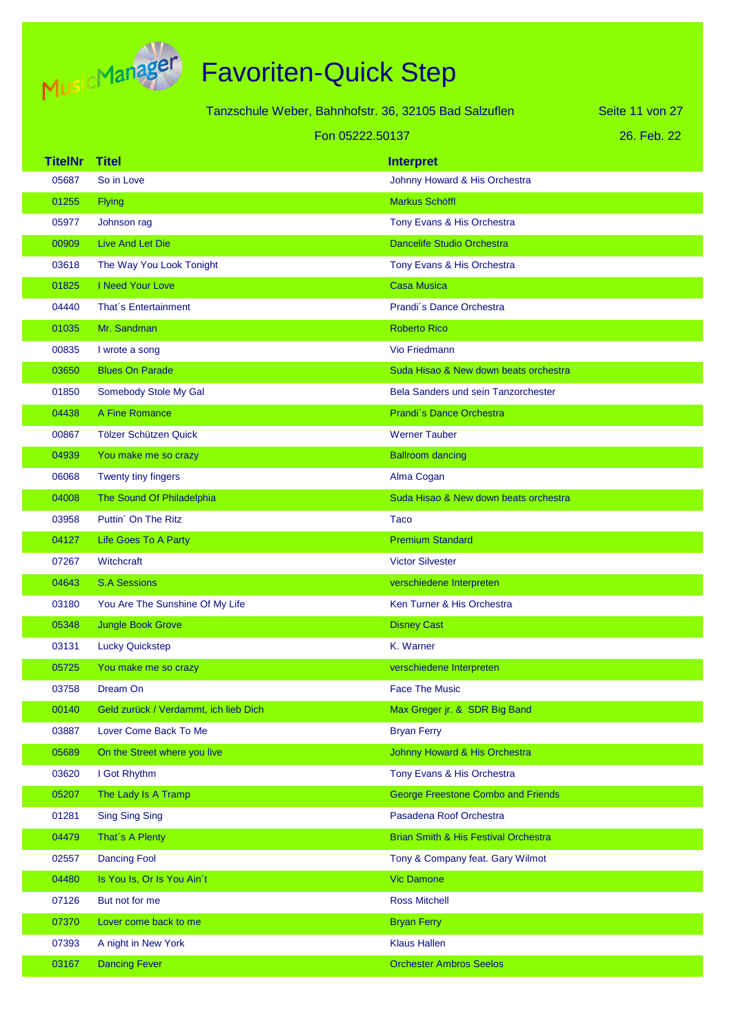

|                 |                                       | Tanzschule Weber, Bahnhofstr. 36, 32105 Bad Salzuflen | Seite 11 von 27 |
|-----------------|---------------------------------------|-------------------------------------------------------|-----------------|
| Fon 05222.50137 |                                       | 26. Feb. 22                                           |                 |
| <b>TitelNr</b>  | <b>Titel</b>                          | <b>Interpret</b>                                      |                 |
| 05687           | So in Love                            | Johnny Howard & His Orchestra                         |                 |
| 01255           | <b>Flying</b>                         | <b>Markus Schöffl</b>                                 |                 |
| 05977           | Johnson rag                           | Tony Evans & His Orchestra                            |                 |
| 00909           | Live And Let Die                      | <b>Dancelife Studio Orchestra</b>                     |                 |
| 03618           | The Way You Look Tonight              | Tony Evans & His Orchestra                            |                 |
| 01825           | I Need Your Love                      | <b>Casa Musica</b>                                    |                 |
| 04440           | That's Entertainment                  | Prandi's Dance Orchestra                              |                 |
| 01035           | Mr. Sandman                           | <b>Roberto Rico</b>                                   |                 |
| 00835           | I wrote a song                        | <b>Vio Friedmann</b>                                  |                 |
| 03650           | <b>Blues On Parade</b>                | Suda Hisao & New down beats orchestra                 |                 |
| 01850           | Somebody Stole My Gal                 | <b>Bela Sanders und sein Tanzorchester</b>            |                 |
| 04438           | A Fine Romance                        | Prandi's Dance Orchestra                              |                 |
| 00867           | Tölzer Schützen Quick                 | <b>Werner Tauber</b>                                  |                 |
| 04939           | You make me so crazy                  | <b>Ballroom dancing</b>                               |                 |
| 06068           | Twenty tiny fingers                   | Alma Cogan                                            |                 |
| 04008           | The Sound Of Philadelphia             | Suda Hisao & New down beats orchestra                 |                 |
| 03958           | Puttin' On The Ritz                   | <b>Taco</b>                                           |                 |
| 04127           | Life Goes To A Party                  | <b>Premium Standard</b>                               |                 |
| 07267           | Witchcraft                            | <b>Victor Silvester</b>                               |                 |
| 04643           | <b>S.A Sessions</b>                   | verschiedene Interpreten                              |                 |
| 03180           | You Are The Sunshine Of My Life       | Ken Turner & His Orchestra                            |                 |
| 05348           | <b>Jungle Book Grove</b>              | <b>Disney Cast</b>                                    |                 |
| 03131           | <b>Lucky Quickstep</b>                | K. Warner                                             |                 |
| 05725           | You make me so crazy                  | verschiedene Interpreten                              |                 |
| 03758           | Dream On                              | <b>Face The Music</b>                                 |                 |
| 00140           | Geld zurück / Verdammt, ich lieb Dich | Max Greger jr. & SDR Big Band                         |                 |
| 03887           | Lover Come Back To Me                 | <b>Bryan Ferry</b>                                    |                 |
| 05689           | On the Street where you live          | Johnny Howard & His Orchestra                         |                 |
| 03620           | I Got Rhythm                          | Tony Evans & His Orchestra                            |                 |
| 05207           | The Lady Is A Tramp                   | <b>George Freestone Combo and Friends</b>             |                 |
| 01281           | <b>Sing Sing Sing</b>                 | Pasadena Roof Orchestra                               |                 |
| 04479           | That's A Plenty                       | <b>Brian Smith &amp; His Festival Orchestra</b>       |                 |
| 02557           | <b>Dancing Fool</b>                   | Tony & Company feat. Gary Wilmot                      |                 |
| 04480           | Is You Is, Or Is You Ain't            | <b>Vic Damone</b>                                     |                 |
| 07126           | But not for me                        | <b>Ross Mitchell</b>                                  |                 |
| 07370           | Lover come back to me                 | <b>Bryan Ferry</b>                                    |                 |
| 07393           | A night in New York                   | <b>Klaus Hallen</b>                                   |                 |
| 03167           | <b>Dancing Fever</b>                  | <b>Orchester Ambros Seelos</b>                        |                 |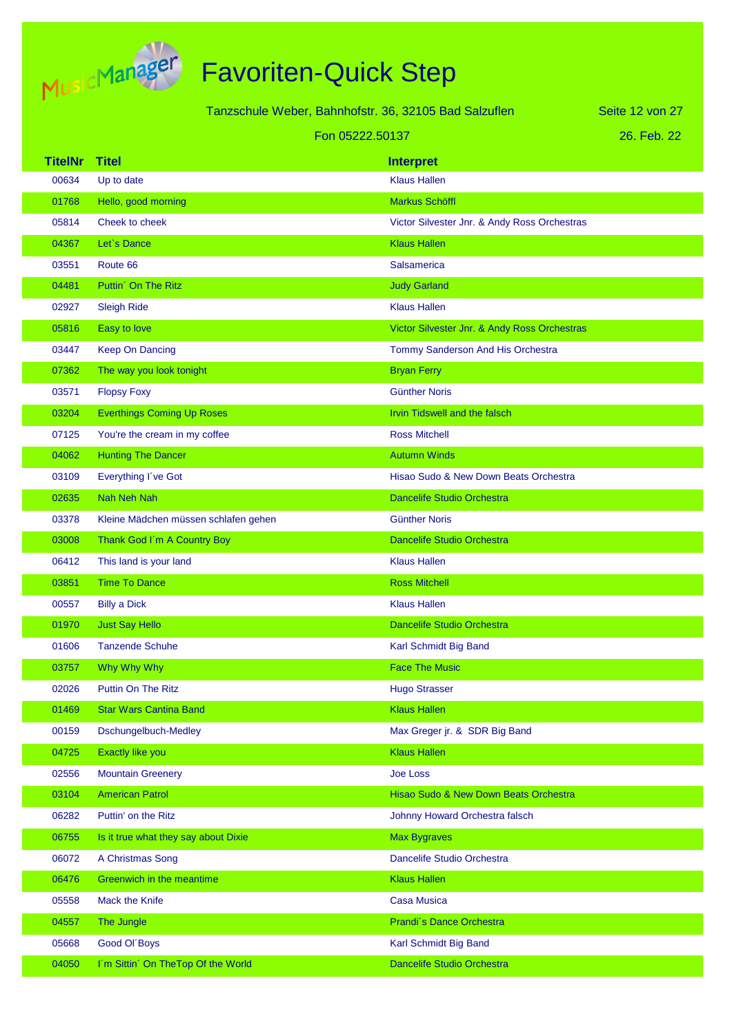

Tanzschule Weber, Bahnhofstr. 36, 32105 Bad Salzuflen

26. Feb. 22 Seite 12 von 27

|                | Fon 05222.50137                      |                                              | 26. Feb. 22 |
|----------------|--------------------------------------|----------------------------------------------|-------------|
| <b>TitelNr</b> | <b>Titel</b>                         | <b>Interpret</b>                             |             |
| 00634          | Up to date                           | <b>Klaus Hallen</b>                          |             |
| 01768          | Hello, good morning                  | <b>Markus Schöffl</b>                        |             |
| 05814          | Cheek to cheek                       | Victor Silvester Jnr. & Andy Ross Orchestras |             |
| 04367          | Let's Dance                          | <b>Klaus Hallen</b>                          |             |
| 03551          | Route 66                             | <b>Salsamerica</b>                           |             |
| 04481          | Puttin <sup>'</sup> On The Ritz      | <b>Judy Garland</b>                          |             |
| 02927          | <b>Sleigh Ride</b>                   | <b>Klaus Hallen</b>                          |             |
| 05816          | Easy to love                         | Victor Silvester Jnr. & Andy Ross Orchestras |             |
| 03447          | <b>Keep On Dancing</b>               | Tommy Sanderson And His Orchestra            |             |
| 07362          | The way you look tonight             | <b>Bryan Ferry</b>                           |             |
| 03571          | <b>Flopsy Foxy</b>                   | <b>Günther Noris</b>                         |             |
| 03204          | <b>Everthings Coming Up Roses</b>    | Irvin Tidswell and the falsch                |             |
| 07125          | You're the cream in my coffee        | <b>Ross Mitchell</b>                         |             |
| 04062          | <b>Hunting The Dancer</b>            | <b>Autumn Winds</b>                          |             |
| 03109          | Everything I've Got                  | Hisao Sudo & New Down Beats Orchestra        |             |
| 02635          | Nah Neh Nah                          | <b>Dancelife Studio Orchestra</b>            |             |
| 03378          | Kleine Mädchen müssen schlafen gehen | <b>Günther Noris</b>                         |             |
| 03008          | Thank God I'm A Country Boy          | <b>Dancelife Studio Orchestra</b>            |             |
| 06412          | This land is your land               | <b>Klaus Hallen</b>                          |             |
| 03851          | <b>Time To Dance</b>                 | <b>Ross Mitchell</b>                         |             |
| 00557          | <b>Billy a Dick</b>                  | <b>Klaus Hallen</b>                          |             |
| 01970          | <b>Just Say Hello</b>                | <b>Dancelife Studio Orchestra</b>            |             |
| 01606          | <b>Tanzende Schuhe</b>               | Karl Schmidt Big Band                        |             |
| 03757          | Why Why Why                          | <b>Face The Music</b>                        |             |
| 02026          | <b>Puttin On The Ritz</b>            | <b>Hugo Strasser</b>                         |             |
| 01469          | <b>Star Wars Cantina Band</b>        | <b>Klaus Hallen</b>                          |             |
| 00159          | Dschungelbuch-Medley                 | Max Greger jr. & SDR Big Band                |             |
| 04725          | Exactly like you                     | <b>Klaus Hallen</b>                          |             |
| 02556          | <b>Mountain Greenery</b>             | <b>Joe Loss</b>                              |             |
| 03104          | <b>American Patrol</b>               | Hisao Sudo & New Down Beats Orchestra        |             |
| 06282          | Puttin' on the Ritz                  | Johnny Howard Orchestra falsch               |             |
| 06755          | Is it true what they say about Dixie | <b>Max Bygraves</b>                          |             |
| 06072          | A Christmas Song                     | Dancelife Studio Orchestra                   |             |
| 06476          | Greenwich in the meantime            | <b>Klaus Hallen</b>                          |             |
| 05558          | Mack the Knife                       | <b>Casa Musica</b>                           |             |
| 04557          | The Jungle                           | Prandi's Dance Orchestra                     |             |
| 05668          | Good Ol'Boys                         | Karl Schmidt Big Band                        |             |
| 04050          | I'm Sittin' On TheTop Of the World   | <b>Dancelife Studio Orchestra</b>            |             |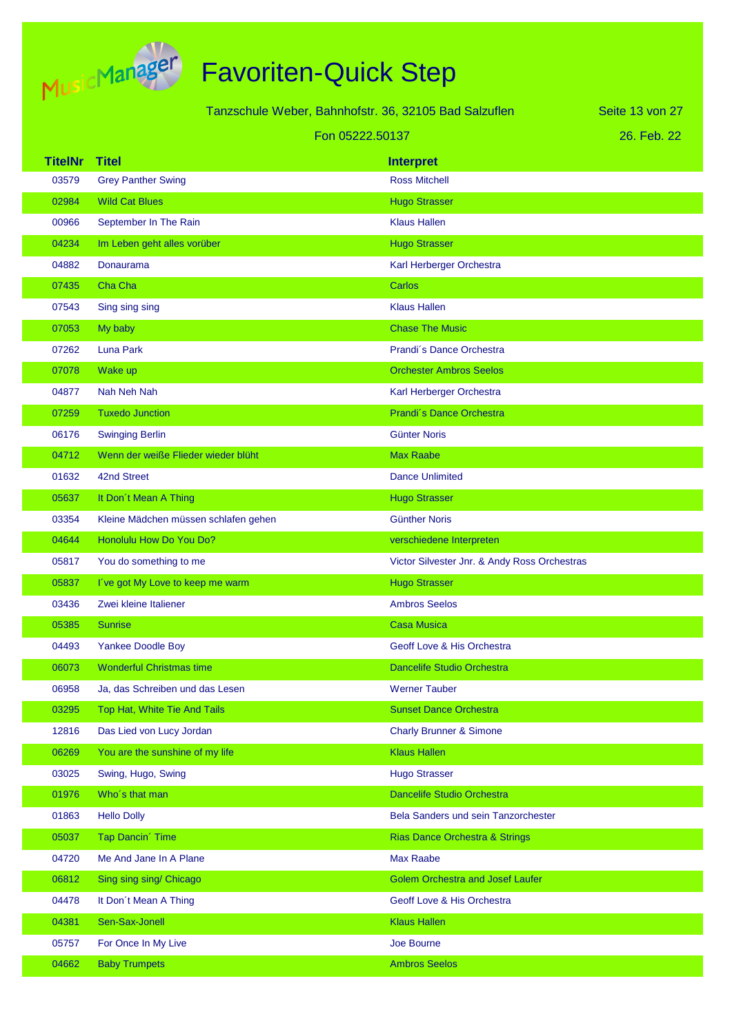

| Tanzschule Weber, Bahnhofstr. 36, 32105 Bad Salzuflen |                                      |                                              | Seite 13 von 27 |
|-------------------------------------------------------|--------------------------------------|----------------------------------------------|-----------------|
|                                                       |                                      | Fon 05222.50137                              | 26. Feb. 22     |
| <b>TitelNr</b>                                        | <b>Titel</b>                         | <b>Interpret</b>                             |                 |
| 03579                                                 | <b>Grey Panther Swing</b>            | <b>Ross Mitchell</b>                         |                 |
| 02984                                                 | <b>Wild Cat Blues</b>                | <b>Hugo Strasser</b>                         |                 |
| 00966                                                 | September In The Rain                | <b>Klaus Hallen</b>                          |                 |
| 04234                                                 | Im Leben geht alles vorüber          | <b>Hugo Strasser</b>                         |                 |
| 04882                                                 | Donaurama                            | Karl Herberger Orchestra                     |                 |
| 07435                                                 | Cha Cha                              | Carlos                                       |                 |
| 07543                                                 | Sing sing sing                       | <b>Klaus Hallen</b>                          |                 |
| 07053                                                 | My baby                              | <b>Chase The Music</b>                       |                 |
| 07262                                                 | Luna Park                            | Prandi's Dance Orchestra                     |                 |
| 07078                                                 | Wake up                              | <b>Orchester Ambros Seelos</b>               |                 |
| 04877                                                 | Nah Neh Nah                          | Karl Herberger Orchestra                     |                 |
| 07259                                                 | <b>Tuxedo Junction</b>               | Prandi's Dance Orchestra                     |                 |
| 06176                                                 | <b>Swinging Berlin</b>               | Günter Noris                                 |                 |
| 04712                                                 | Wenn der weiße Flieder wieder blüht  | <b>Max Raabe</b>                             |                 |
| 01632                                                 | 42nd Street                          | <b>Dance Unlimited</b>                       |                 |
| 05637                                                 | It Don't Mean A Thing                | <b>Hugo Strasser</b>                         |                 |
| 03354                                                 | Kleine Mädchen müssen schlafen gehen | <b>Günther Noris</b>                         |                 |
| 04644                                                 | Honolulu How Do You Do?              | verschiedene Interpreten                     |                 |
| 05817                                                 | You do something to me               | Victor Silvester Jnr. & Andy Ross Orchestras |                 |
| 05837                                                 | I've got My Love to keep me warm     | <b>Hugo Strasser</b>                         |                 |
| 03436                                                 | Zwei kleine Italiener                | <b>Ambros Seelos</b>                         |                 |
| 05385                                                 | <b>Sunrise</b>                       | <b>Casa Musica</b>                           |                 |
| 04493                                                 | <b>Yankee Doodle Boy</b>             | Geoff Love & His Orchestra                   |                 |
| 06073                                                 | <b>Wonderful Christmas time</b>      | <b>Dancelife Studio Orchestra</b>            |                 |
| 06958                                                 | Ja, das Schreiben und das Lesen      | <b>Werner Tauber</b>                         |                 |
| 03295                                                 | Top Hat, White Tie And Tails         | <b>Sunset Dance Orchestra</b>                |                 |
| 12816                                                 | Das Lied von Lucy Jordan             | <b>Charly Brunner &amp; Simone</b>           |                 |
| 06269                                                 | You are the sunshine of my life      | <b>Klaus Hallen</b>                          |                 |
| 03025                                                 | Swing, Hugo, Swing                   | <b>Hugo Strasser</b>                         |                 |
| 01976                                                 | Who's that man                       | Dancelife Studio Orchestra                   |                 |
| 01863                                                 | <b>Hello Dolly</b>                   | Bela Sanders und sein Tanzorchester          |                 |
| 05037                                                 | <b>Tap Dancin' Time</b>              | Rias Dance Orchestra & Strings               |                 |
| 04720                                                 | Me And Jane In A Plane               | Max Raabe                                    |                 |
| 06812                                                 | Sing sing sing/ Chicago              | <b>Golem Orchestra and Josef Laufer</b>      |                 |
| 04478                                                 | It Don't Mean A Thing                | Geoff Love & His Orchestra                   |                 |
| 04381                                                 | Sen-Sax-Jonell                       | <b>Klaus Hallen</b>                          |                 |
| 05757                                                 | For Once In My Live                  | Joe Bourne                                   |                 |
| 04662                                                 | <b>Baby Trumpets</b>                 | <b>Ambros Seelos</b>                         |                 |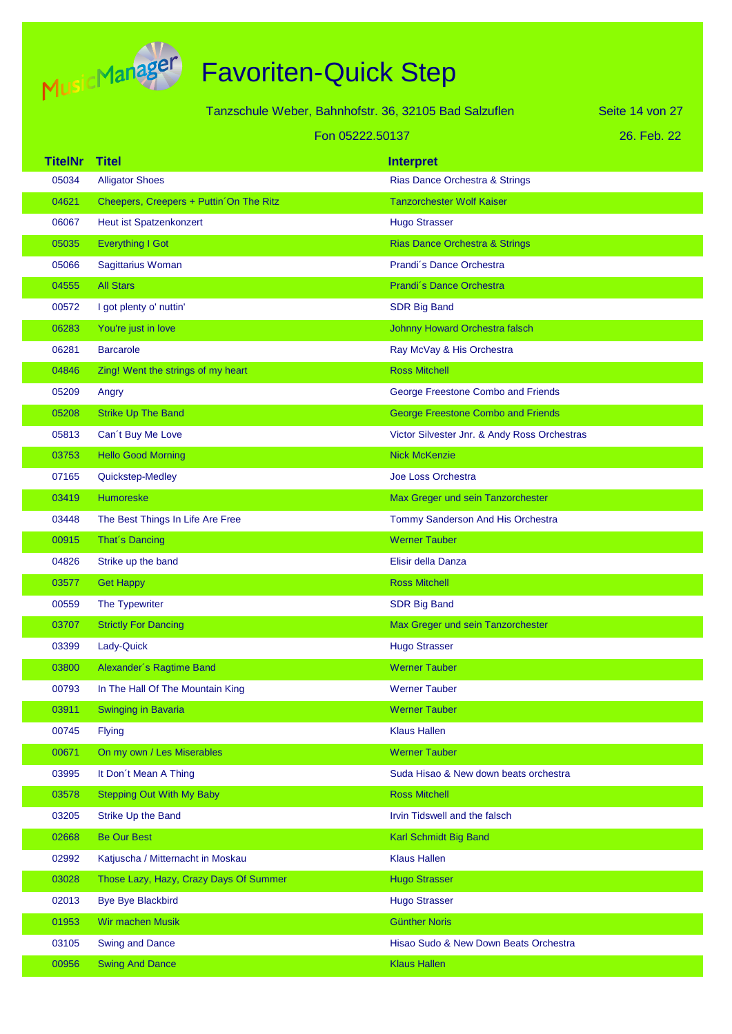

|                         | Tanzschule Weber, Bahnhofstr. 36, 32105 Bad Salzuflen             |                                                    | Seite 14 von 27 |
|-------------------------|-------------------------------------------------------------------|----------------------------------------------------|-----------------|
|                         | Fon 05222.50137                                                   |                                                    | 26. Feb. 22     |
|                         |                                                                   |                                                    |                 |
| <b>TitelNr</b><br>05034 | <b>Titel</b>                                                      | <b>Interpret</b><br>Rias Dance Orchestra & Strings |                 |
| 04621                   | <b>Alligator Shoes</b><br>Cheepers, Creepers + Puttin On The Ritz | <b>Tanzorchester Wolf Kaiser</b>                   |                 |
| 06067                   | <b>Heut ist Spatzenkonzert</b>                                    | <b>Hugo Strasser</b>                               |                 |
| 05035                   | <b>Everything I Got</b>                                           | <b>Rias Dance Orchestra &amp; Strings</b>          |                 |
| 05066                   | Sagittarius Woman                                                 | Prandi's Dance Orchestra                           |                 |
| 04555                   | <b>All Stars</b>                                                  | Prandi's Dance Orchestra                           |                 |
| 00572                   | I got plenty o' nuttin'                                           | <b>SDR Big Band</b>                                |                 |
| 06283                   | You're just in love                                               | <b>Johnny Howard Orchestra falsch</b>              |                 |
| 06281                   | <b>Barcarole</b>                                                  | Ray McVay & His Orchestra                          |                 |
| 04846                   | Zing! Went the strings of my heart                                | <b>Ross Mitchell</b>                               |                 |
| 05209                   | Angry                                                             | George Freestone Combo and Friends                 |                 |
| 05208                   | <b>Strike Up The Band</b>                                         | <b>George Freestone Combo and Friends</b>          |                 |
| 05813                   | Can't Buy Me Love                                                 | Victor Silvester Jnr. & Andy Ross Orchestras       |                 |
| 03753                   | <b>Hello Good Morning</b>                                         | <b>Nick McKenzie</b>                               |                 |
| 07165                   | Quickstep-Medley                                                  | <b>Joe Loss Orchestra</b>                          |                 |
| 03419                   | Humoreske                                                         | Max Greger und sein Tanzorchester                  |                 |
| 03448                   | The Best Things In Life Are Free                                  | Tommy Sanderson And His Orchestra                  |                 |
| 00915                   | That's Dancing                                                    | <b>Werner Tauber</b>                               |                 |
| 04826                   | Strike up the band                                                | Elisir della Danza                                 |                 |
| 03577                   | <b>Get Happy</b>                                                  | <b>Ross Mitchell</b>                               |                 |
| 00559                   | The Typewriter                                                    | <b>SDR Big Band</b>                                |                 |
| 03707                   | <b>Strictly For Dancing</b>                                       | Max Greger und sein Tanzorchester                  |                 |
| 03399                   | Lady-Quick                                                        | <b>Hugo Strasser</b>                               |                 |
| 03800                   | Alexander's Ragtime Band                                          | <b>Werner Tauber</b>                               |                 |
| 00793                   | In The Hall Of The Mountain King                                  | <b>Werner Tauber</b>                               |                 |
| 03911                   | Swinging in Bavaria                                               | <b>Werner Tauber</b>                               |                 |
| 00745                   | <b>Flying</b>                                                     | <b>Klaus Hallen</b>                                |                 |
| 00671                   | On my own / Les Miserables                                        | <b>Werner Tauber</b>                               |                 |
| 03995                   | It Don't Mean A Thing                                             | Suda Hisao & New down beats orchestra              |                 |
| 03578                   | <b>Stepping Out With My Baby</b>                                  | <b>Ross Mitchell</b>                               |                 |
| 03205                   | Strike Up the Band                                                | Irvin Tidswell and the falsch                      |                 |
| 02668                   | <b>Be Our Best</b>                                                | Karl Schmidt Big Band                              |                 |
| 02992                   | Katjuscha / Mitternacht in Moskau                                 | <b>Klaus Hallen</b>                                |                 |
| 03028                   | Those Lazy, Hazy, Crazy Days Of Summer                            | <b>Hugo Strasser</b>                               |                 |
| 02013                   | <b>Bye Bye Blackbird</b>                                          | <b>Hugo Strasser</b>                               |                 |
| 01953                   | Wir machen Musik                                                  | <b>Günther Noris</b>                               |                 |
| 03105                   | <b>Swing and Dance</b>                                            | Hisao Sudo & New Down Beats Orchestra              |                 |
| 00956                   | <b>Swing And Dance</b>                                            | <b>Klaus Hallen</b>                                |                 |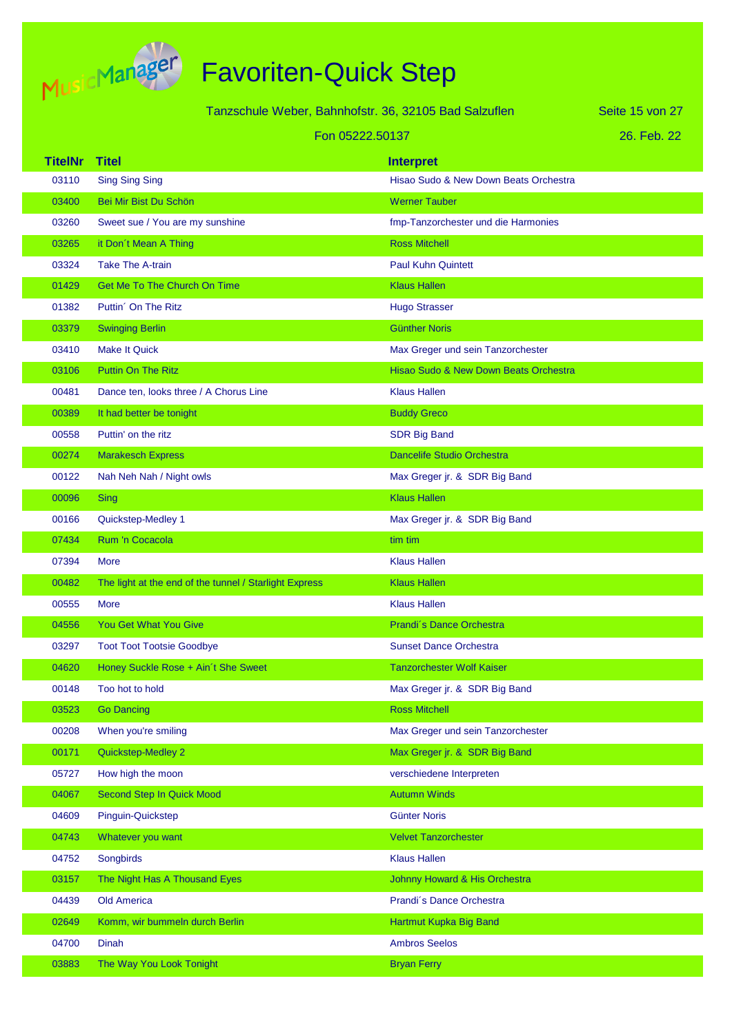

Tanzschule Weber, Bahnhofstr. 36, 32105 Bad Salzuflen

Seite 15 von 27

#### Fon 05222.50137

|  | 26. Feb. 22 |  |
|--|-------------|--|
|  |             |  |

| <b>TitelNr</b> | <b>Titel</b>                                           | <b>Interpret</b>                      |
|----------------|--------------------------------------------------------|---------------------------------------|
| 03110          | <b>Sing Sing Sing</b>                                  | Hisao Sudo & New Down Beats Orchestra |
| 03400          | Bei Mir Bist Du Schön                                  | <b>Werner Tauber</b>                  |
| 03260          | Sweet sue / You are my sunshine                        | fmp-Tanzorchester und die Harmonies   |
| 03265          | it Don't Mean A Thing                                  | <b>Ross Mitchell</b>                  |
| 03324          | <b>Take The A-train</b>                                | <b>Paul Kuhn Quintett</b>             |
| 01429          | <b>Get Me To The Church On Time</b>                    | <b>Klaus Hallen</b>                   |
| 01382          | Puttin <sup>'</sup> On The Ritz                        | <b>Hugo Strasser</b>                  |
| 03379          | <b>Swinging Berlin</b>                                 | <b>Günther Noris</b>                  |
| 03410          | <b>Make It Quick</b>                                   | Max Greger und sein Tanzorchester     |
| 03106          | <b>Puttin On The Ritz</b>                              | Hisao Sudo & New Down Beats Orchestra |
| 00481          | Dance ten, looks three / A Chorus Line                 | <b>Klaus Hallen</b>                   |
| 00389          | It had better be tonight                               | <b>Buddy Greco</b>                    |
| 00558          | Puttin' on the ritz                                    | <b>SDR Big Band</b>                   |
| 00274          | <b>Marakesch Express</b>                               | <b>Dancelife Studio Orchestra</b>     |
| 00122          | Nah Neh Nah / Night owls                               | Max Greger jr. & SDR Big Band         |
| 00096          | Sing                                                   | <b>Klaus Hallen</b>                   |
| 00166          | Quickstep-Medley 1                                     | Max Greger jr. & SDR Big Band         |
| 07434          | Rum 'n Cocacola                                        | tim tim                               |
| 07394          | More                                                   | <b>Klaus Hallen</b>                   |
| 00482          | The light at the end of the tunnel / Starlight Express | <b>Klaus Hallen</b>                   |
| 00555          | More                                                   | <b>Klaus Hallen</b>                   |
| 04556          | You Get What You Give                                  | Prandi's Dance Orchestra              |
| 03297          | <b>Toot Toot Tootsie Goodbye</b>                       | <b>Sunset Dance Orchestra</b>         |
| 04620          | Honey Suckle Rose + Ain't She Sweet                    | <b>Tanzorchester Wolf Kaiser</b>      |
| 00148          | Too hot to hold                                        | Max Greger jr. & SDR Big Band         |
| 03523          | <b>Go Dancing</b>                                      | <b>Ross Mitchell</b>                  |
| 00208          | When you're smiling                                    | Max Greger und sein Tanzorchester     |
| 00171          | Quickstep-Medley 2                                     | Max Greger jr. & SDR Big Band         |
| 05727          | How high the moon                                      | verschiedene Interpreten              |
| 04067          | Second Step In Quick Mood                              | <b>Autumn Winds</b>                   |
| 04609          | Pinguin-Quickstep                                      | <b>Günter Noris</b>                   |
| 04743          | Whatever you want                                      | <b>Velvet Tanzorchester</b>           |
| 04752          | Songbirds                                              | <b>Klaus Hallen</b>                   |
| 03157          | The Night Has A Thousand Eyes                          | Johnny Howard & His Orchestra         |
| 04439          | Old America                                            | Prandi's Dance Orchestra              |
| 02649          | Komm, wir bummeln durch Berlin                         | Hartmut Kupka Big Band                |
| 04700          | <b>Dinah</b>                                           | <b>Ambros Seelos</b>                  |
| 03883          | The Way You Look Tonight                               | <b>Bryan Ferry</b>                    |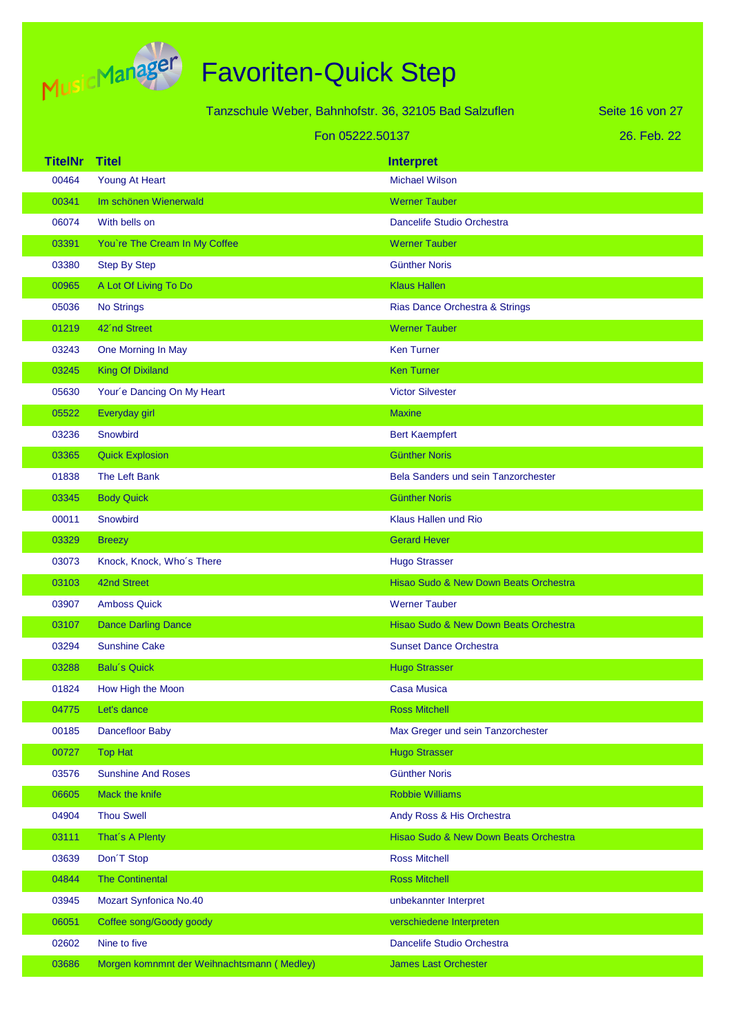

|                 |                                            | Tanzschule Weber, Bahnhofstr. 36, 32105 Bad Salzuflen | Seite 16 von 27 |
|-----------------|--------------------------------------------|-------------------------------------------------------|-----------------|
| Fon 05222.50137 |                                            |                                                       | 26. Feb. 22     |
| <b>TitelNr</b>  | <b>Titel</b>                               | <b>Interpret</b>                                      |                 |
| 00464           | Young At Heart                             | <b>Michael Wilson</b>                                 |                 |
| 00341           | Im schönen Wienerwald                      | <b>Werner Tauber</b>                                  |                 |
| 06074           | With bells on                              | Dancelife Studio Orchestra                            |                 |
| 03391           | You're The Cream In My Coffee              | <b>Werner Tauber</b>                                  |                 |
| 03380           | <b>Step By Step</b>                        | <b>Günther Noris</b>                                  |                 |
| 00965           | A Lot Of Living To Do                      | <b>Klaus Hallen</b>                                   |                 |
| 05036           | <b>No Strings</b>                          | Rias Dance Orchestra & Strings                        |                 |
| 01219           | 42'nd Street                               | <b>Werner Tauber</b>                                  |                 |
| 03243           | One Morning In May                         | <b>Ken Turner</b>                                     |                 |
| 03245           | <b>King Of Dixiland</b>                    | <b>Ken Turner</b>                                     |                 |
| 05630           | Your'e Dancing On My Heart                 | <b>Victor Silvester</b>                               |                 |
| 05522           | Everyday girl                              | <b>Maxine</b>                                         |                 |
| 03236           | Snowbird                                   | <b>Bert Kaempfert</b>                                 |                 |
| 03365           | <b>Quick Explosion</b>                     | <b>Günther Noris</b>                                  |                 |
| 01838           | The Left Bank                              | Bela Sanders und sein Tanzorchester                   |                 |
| 03345           | <b>Body Quick</b>                          | <b>Günther Noris</b>                                  |                 |
| 00011           | Snowbird                                   | Klaus Hallen und Rio                                  |                 |
| 03329           | <b>Breezy</b>                              | <b>Gerard Hever</b>                                   |                 |
| 03073           | Knock, Knock, Who's There                  | <b>Hugo Strasser</b>                                  |                 |
| 03103           | 42nd Street                                | Hisao Sudo & New Down Beats Orchestra                 |                 |
| 03907           | <b>Amboss Quick</b>                        | <b>Werner Tauber</b>                                  |                 |
| 03107           | <b>Dance Darling Dance</b>                 | Hisao Sudo & New Down Beats Orchestra                 |                 |
| 03294           | <b>Sunshine Cake</b>                       | <b>Sunset Dance Orchestra</b>                         |                 |
| 03288           | <b>Balu's Quick</b>                        | <b>Hugo Strasser</b>                                  |                 |
| 01824           | How High the Moon                          | <b>Casa Musica</b>                                    |                 |
| 04775           | Let's dance                                | <b>Ross Mitchell</b>                                  |                 |
| 00185           | Dancefloor Baby                            | Max Greger und sein Tanzorchester                     |                 |
| 00727           | <b>Top Hat</b>                             | <b>Hugo Strasser</b>                                  |                 |
| 03576           | <b>Sunshine And Roses</b>                  | <b>Günther Noris</b>                                  |                 |
| 06605           | Mack the knife                             | <b>Robbie Williams</b>                                |                 |
| 04904           | <b>Thou Swell</b>                          | Andy Ross & His Orchestra                             |                 |
| 03111           | That's A Plenty                            | Hisao Sudo & New Down Beats Orchestra                 |                 |
| 03639           | Don <sup>T</sup> Stop                      | <b>Ross Mitchell</b>                                  |                 |
| 04844           | <b>The Continental</b>                     | <b>Ross Mitchell</b>                                  |                 |
| 03945           | Mozart Synfonica No.40                     | unbekannter Interpret                                 |                 |
| 06051           | Coffee song/Goody goody                    | verschiedene Interpreten                              |                 |
| 02602           | Nine to five                               | Dancelife Studio Orchestra                            |                 |
| 03686           | Morgen komnmnt der Weihnachtsmann (Medley) | <b>James Last Orchester</b>                           |                 |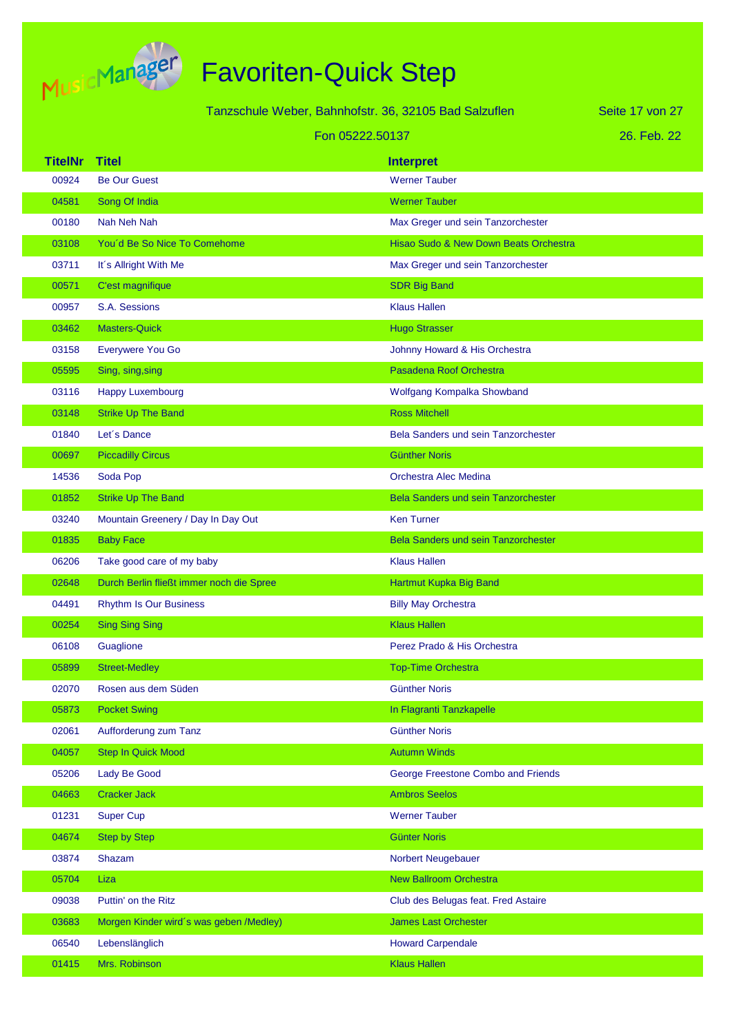

Tanzschule Weber, Bahnhofstr. 36, 32105 Bad Salzuflen

26. Feb. 22 Seite 17 von 27

|                | Fon 05222.50137                          |                                            | 26. Feb. 22 |
|----------------|------------------------------------------|--------------------------------------------|-------------|
| <b>TitelNr</b> | <b>Titel</b>                             | <b>Interpret</b>                           |             |
| 00924          | <b>Be Our Guest</b>                      | <b>Werner Tauber</b>                       |             |
| 04581          | Song Of India                            | <b>Werner Tauber</b>                       |             |
| 00180          | Nah Neh Nah                              | Max Greger und sein Tanzorchester          |             |
| 03108          | You'd Be So Nice To Comehome             | Hisao Sudo & New Down Beats Orchestra      |             |
| 03711          | It's Allright With Me                    | Max Greger und sein Tanzorchester          |             |
| 00571          | C'est magnifique                         | <b>SDR Big Band</b>                        |             |
| 00957          | S.A. Sessions                            | <b>Klaus Hallen</b>                        |             |
| 03462          | <b>Masters-Quick</b>                     | <b>Hugo Strasser</b>                       |             |
| 03158          | Everywere You Go                         | Johnny Howard & His Orchestra              |             |
| 05595          | Sing, sing, sing                         | Pasadena Roof Orchestra                    |             |
| 03116          | <b>Happy Luxembourg</b>                  | Wolfgang Kompalka Showband                 |             |
| 03148          | <b>Strike Up The Band</b>                | <b>Ross Mitchell</b>                       |             |
| 01840          | Let's Dance                              | <b>Bela Sanders und sein Tanzorchester</b> |             |
| 00697          | <b>Piccadilly Circus</b>                 | <b>Günther Noris</b>                       |             |
| 14536          | Soda Pop                                 | Orchestra Alec Medina                      |             |
| 01852          | <b>Strike Up The Band</b>                | Bela Sanders und sein Tanzorchester        |             |
| 03240          | Mountain Greenery / Day In Day Out       | <b>Ken Turner</b>                          |             |
| 01835          | <b>Baby Face</b>                         | <b>Bela Sanders und sein Tanzorchester</b> |             |
| 06206          | Take good care of my baby                | <b>Klaus Hallen</b>                        |             |
| 02648          | Durch Berlin fließt immer noch die Spree | Hartmut Kupka Big Band                     |             |
| 04491          | <b>Rhythm Is Our Business</b>            | <b>Billy May Orchestra</b>                 |             |
| 00254          | <b>Sing Sing Sing</b>                    | <b>Klaus Hallen</b>                        |             |
| 06108          | Guaglione                                | Perez Prado & His Orchestra                |             |
| 05899          | <b>Street-Medley</b>                     | <b>Top-Time Orchestra</b>                  |             |
| 02070          | Rosen aus dem Süden                      | <b>Günther Noris</b>                       |             |
| 05873          | <b>Pocket Swing</b>                      | In Flagranti Tanzkapelle                   |             |
| 02061          | Aufforderung zum Tanz                    | <b>Günther Noris</b>                       |             |
| 04057          | <b>Step In Quick Mood</b>                | <b>Autumn Winds</b>                        |             |
| 05206          | Lady Be Good                             | George Freestone Combo and Friends         |             |
| 04663          | <b>Cracker Jack</b>                      | <b>Ambros Seelos</b>                       |             |
| 01231          | <b>Super Cup</b>                         | <b>Werner Tauber</b>                       |             |
| 04674          | <b>Step by Step</b>                      | <b>Günter Noris</b>                        |             |
| 03874          | Shazam                                   | Norbert Neugebauer                         |             |
| 05704          | Liza                                     | <b>New Ballroom Orchestra</b>              |             |
| 09038          | Puttin' on the Ritz                      | Club des Belugas feat. Fred Astaire        |             |
| 03683          | Morgen Kinder wird's was geben /Medley)  | <b>James Last Orchester</b>                |             |
| 06540          | Lebenslänglich                           | <b>Howard Carpendale</b>                   |             |
| 01415          | Mrs. Robinson                            | <b>Klaus Hallen</b>                        |             |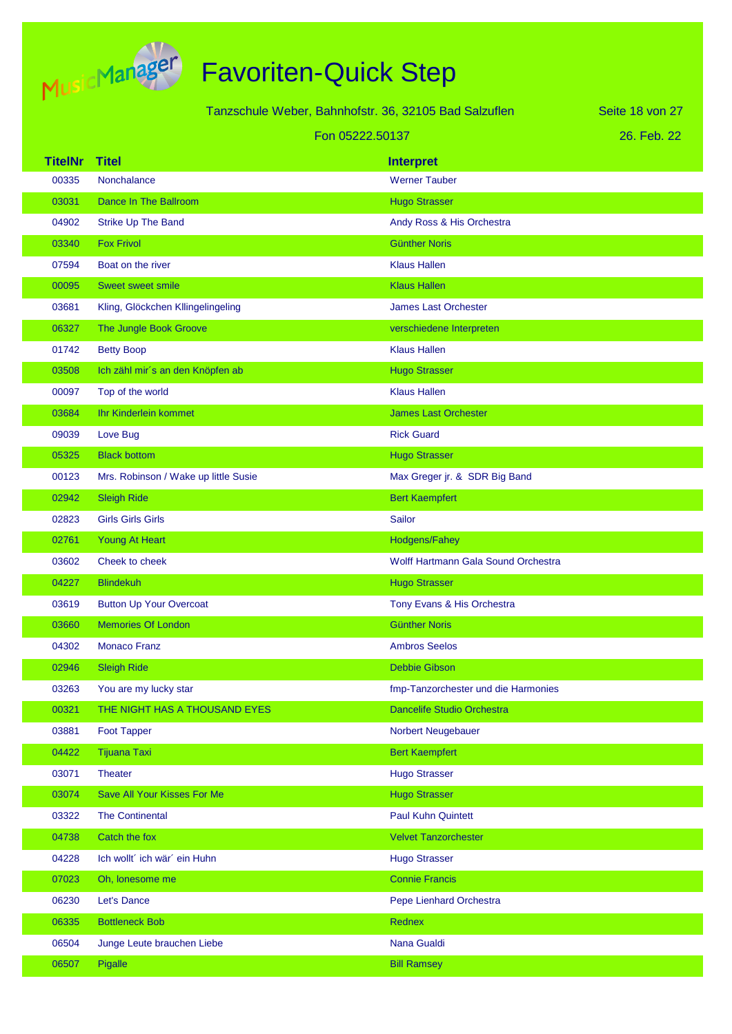

| Seite 18 von 27<br>Tanzschule Weber, Bahnhofstr. 36, 32105 Bad Salzuflen |                                      |                                     |             |
|--------------------------------------------------------------------------|--------------------------------------|-------------------------------------|-------------|
| Fon 05222.50137                                                          |                                      |                                     | 26. Feb. 22 |
| <b>TitelNr</b>                                                           | <b>Titel</b>                         | <b>Interpret</b>                    |             |
| 00335                                                                    | Nonchalance                          | <b>Werner Tauber</b>                |             |
| 03031                                                                    | Dance In The Ballroom                | <b>Hugo Strasser</b>                |             |
| 04902                                                                    | Strike Up The Band                   | Andy Ross & His Orchestra           |             |
| 03340                                                                    | <b>Fox Frivol</b>                    | <b>Günther Noris</b>                |             |
| 07594                                                                    | Boat on the river                    | <b>Klaus Hallen</b>                 |             |
| 00095                                                                    | <b>Sweet sweet smile</b>             | <b>Klaus Hallen</b>                 |             |
| 03681                                                                    | Kling, Glöckchen Kllingelingeling    | <b>James Last Orchester</b>         |             |
| 06327                                                                    | The Jungle Book Groove               | verschiedene Interpreten            |             |
| 01742                                                                    | <b>Betty Boop</b>                    | <b>Klaus Hallen</b>                 |             |
| 03508                                                                    | Ich zähl mir's an den Knöpfen ab     | <b>Hugo Strasser</b>                |             |
| 00097                                                                    | Top of the world                     | <b>Klaus Hallen</b>                 |             |
| 03684                                                                    | Ihr Kinderlein kommet                | <b>James Last Orchester</b>         |             |
| 09039                                                                    | Love Bug                             | <b>Rick Guard</b>                   |             |
| 05325                                                                    | <b>Black bottom</b>                  | <b>Hugo Strasser</b>                |             |
| 00123                                                                    | Mrs. Robinson / Wake up little Susie | Max Greger jr. & SDR Big Band       |             |
| 02942                                                                    | <b>Sleigh Ride</b>                   | <b>Bert Kaempfert</b>               |             |
| 02823                                                                    | <b>Girls Girls Girls</b>             | Sailor                              |             |
| 02761                                                                    | Young At Heart                       | Hodgens/Fahey                       |             |
| 03602                                                                    | Cheek to cheek                       | Wolff Hartmann Gala Sound Orchestra |             |
| 04227                                                                    | <b>Blindekuh</b>                     | <b>Hugo Strasser</b>                |             |
| 03619                                                                    | <b>Button Up Your Overcoat</b>       | Tony Evans & His Orchestra          |             |
| 03660                                                                    | <b>Memories Of London</b>            | <b>Günther Noris</b>                |             |
| 04302                                                                    | <b>Monaco Franz</b>                  | <b>Ambros Seelos</b>                |             |
| 02946                                                                    | <b>Sleigh Ride</b>                   | <b>Debbie Gibson</b>                |             |
| 03263                                                                    | You are my lucky star                | fmp-Tanzorchester und die Harmonies |             |
| 00321                                                                    | THE NIGHT HAS A THOUSAND EYES        | Dancelife Studio Orchestra          |             |
| 03881                                                                    | <b>Foot Tapper</b>                   | Norbert Neugebauer                  |             |
| 04422                                                                    | <b>Tijuana Taxi</b>                  | <b>Bert Kaempfert</b>               |             |
| 03071                                                                    | Theater                              | <b>Hugo Strasser</b>                |             |
| 03074                                                                    | Save All Your Kisses For Me          | <b>Hugo Strasser</b>                |             |
| 03322                                                                    | <b>The Continental</b>               | <b>Paul Kuhn Quintett</b>           |             |
| 04738                                                                    | Catch the fox                        | <b>Velvet Tanzorchester</b>         |             |
| 04228                                                                    | Ich wollt' ich wär' ein Huhn         | <b>Hugo Strasser</b>                |             |
| 07023                                                                    | Oh, lonesome me                      | <b>Connie Francis</b>               |             |
| 06230                                                                    | Let's Dance                          | Pepe Lienhard Orchestra             |             |
| 06335                                                                    | <b>Bottleneck Bob</b>                | Rednex                              |             |
| 06504                                                                    | Junge Leute brauchen Liebe           | Nana Gualdi                         |             |
| 06507                                                                    | Pigalle                              | <b>Bill Ramsey</b>                  |             |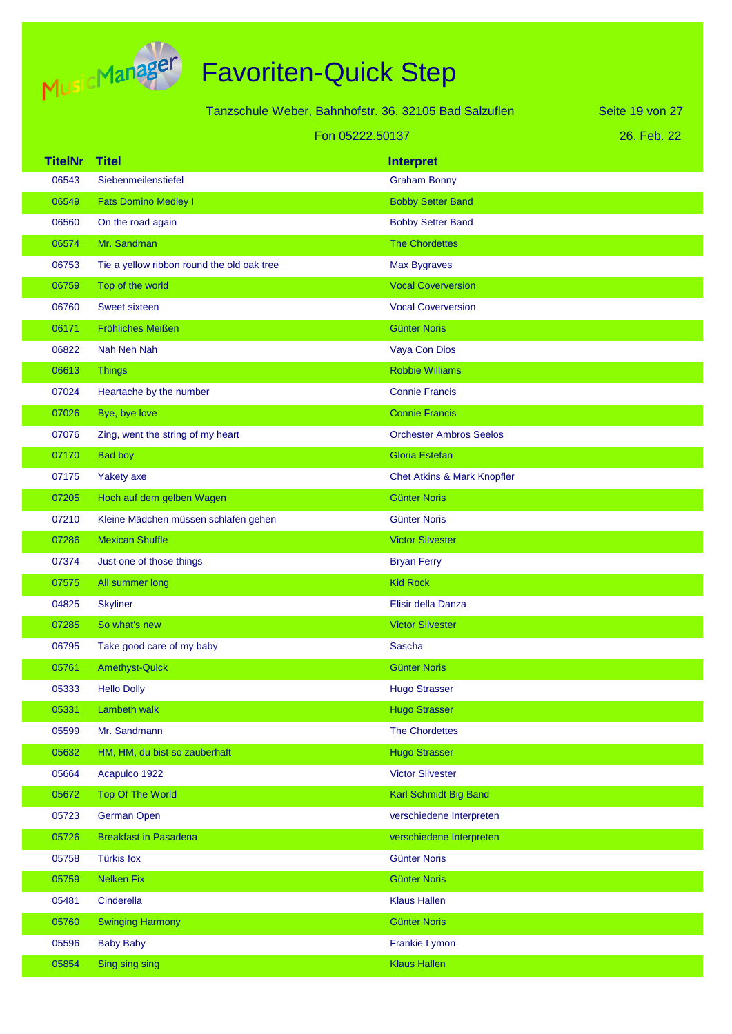

|                 |                                            | Tanzschule Weber, Bahnhofstr. 36, 32105 Bad Salzuflen | Seite 19 von 27 |
|-----------------|--------------------------------------------|-------------------------------------------------------|-----------------|
| Fon 05222.50137 |                                            |                                                       | 26. Feb. 22     |
| <b>TitelNr</b>  | <b>Titel</b>                               | <b>Interpret</b>                                      |                 |
| 06543           | Siebenmeilenstiefel                        | <b>Graham Bonny</b>                                   |                 |
| 06549           | <b>Fats Domino Medley I</b>                | <b>Bobby Setter Band</b>                              |                 |
| 06560           | On the road again                          | <b>Bobby Setter Band</b>                              |                 |
| 06574           | Mr. Sandman                                | <b>The Chordettes</b>                                 |                 |
| 06753           | Tie a yellow ribbon round the old oak tree | <b>Max Bygraves</b>                                   |                 |
| 06759           | Top of the world                           | <b>Vocal Coverversion</b>                             |                 |
| 06760           | <b>Sweet sixteen</b>                       | <b>Vocal Coverversion</b>                             |                 |
| 06171           | Fröhliches Meißen                          | <b>Günter Noris</b>                                   |                 |
| 06822           | Nah Neh Nah                                | Vaya Con Dios                                         |                 |
| 06613           | <b>Things</b>                              | <b>Robbie Williams</b>                                |                 |
| 07024           | Heartache by the number                    | <b>Connie Francis</b>                                 |                 |
| 07026           | Bye, bye love                              | <b>Connie Francis</b>                                 |                 |
| 07076           | Zing, went the string of my heart          | <b>Orchester Ambros Seelos</b>                        |                 |
| 07170           | <b>Bad boy</b>                             | <b>Gloria Estefan</b>                                 |                 |
| 07175           | Yakety axe                                 | Chet Atkins & Mark Knopfler                           |                 |
| 07205           | Hoch auf dem gelben Wagen                  | <b>Günter Noris</b>                                   |                 |
| 07210           | Kleine Mädchen müssen schlafen gehen       | <b>Günter Noris</b>                                   |                 |
| 07286           | <b>Mexican Shuffle</b>                     | <b>Victor Silvester</b>                               |                 |
| 07374           | Just one of those things                   | <b>Bryan Ferry</b>                                    |                 |
| 07575           | All summer long                            | <b>Kid Rock</b>                                       |                 |
| 04825           | <b>Skyliner</b>                            | Elisir della Danza                                    |                 |
| 07285           | So what's new                              | <b>Victor Silvester</b>                               |                 |
| 06795           | Take good care of my baby                  | Sascha                                                |                 |
| 05761           | <b>Amethyst-Quick</b>                      | <b>Günter Noris</b>                                   |                 |
| 05333           | <b>Hello Dolly</b>                         | <b>Hugo Strasser</b>                                  |                 |
| 05331           | Lambeth walk                               | <b>Hugo Strasser</b>                                  |                 |
| 05599           | Mr. Sandmann                               | <b>The Chordettes</b>                                 |                 |
| 05632           | HM, HM, du bist so zauberhaft              | <b>Hugo Strasser</b>                                  |                 |
| 05664           | Acapulco 1922                              | <b>Victor Silvester</b>                               |                 |
| 05672           | Top Of The World                           | Karl Schmidt Big Band                                 |                 |
| 05723           | German Open                                | verschiedene Interpreten                              |                 |
| 05726           | <b>Breakfast in Pasadena</b>               | verschiedene Interpreten                              |                 |
| 05758           | <b>Türkis fox</b>                          | <b>Günter Noris</b>                                   |                 |
| 05759           | <b>Nelken Fix</b>                          | <b>Günter Noris</b>                                   |                 |
| 05481           | Cinderella                                 | <b>Klaus Hallen</b>                                   |                 |
| 05760           | <b>Swinging Harmony</b>                    | <b>Günter Noris</b>                                   |                 |
| 05596           | <b>Baby Baby</b>                           | Frankie Lymon                                         |                 |
| 05854           | Sing sing sing                             | <b>Klaus Hallen</b>                                   |                 |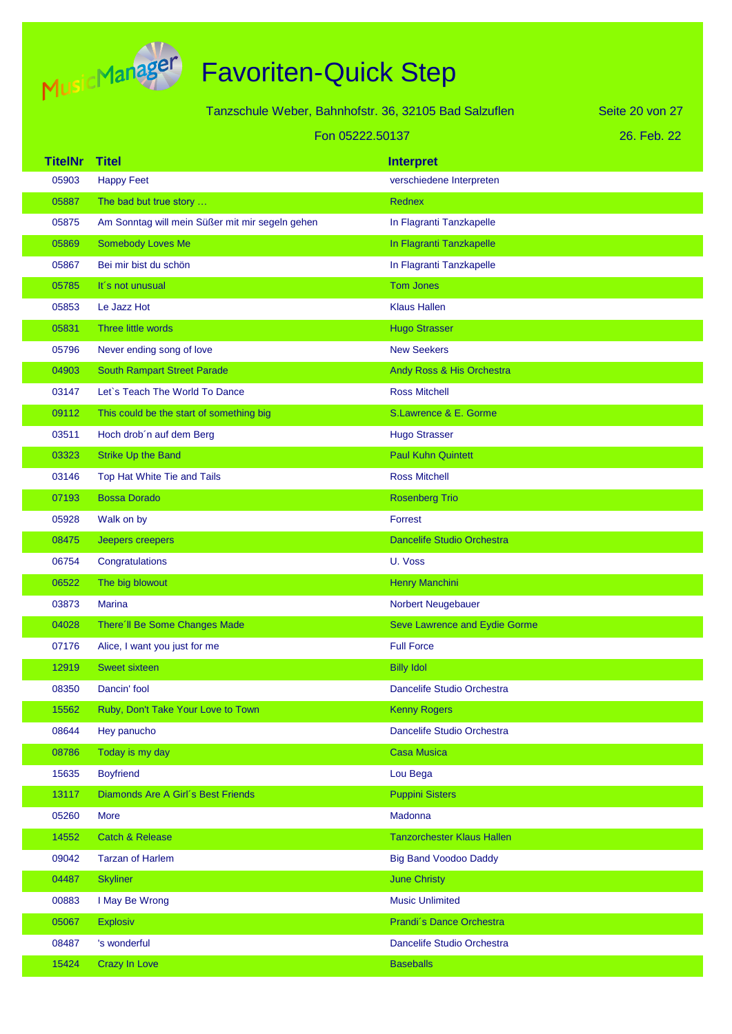

| Tanzschule Weber, Bahnhofstr. 36, 32105 Bad Salzuflen |                                                 |                                   | Seite 20 von 27 |
|-------------------------------------------------------|-------------------------------------------------|-----------------------------------|-----------------|
| Fon 05222.50137                                       |                                                 |                                   | 26. Feb. 22     |
| <b>TitelNr</b>                                        | <b>Titel</b>                                    | <b>Interpret</b>                  |                 |
| 05903                                                 | <b>Happy Feet</b>                               | verschiedene Interpreten          |                 |
| 05887                                                 | The bad but true story                          | <b>Rednex</b>                     |                 |
| 05875                                                 | Am Sonntag will mein Süßer mit mir segeln gehen | In Flagranti Tanzkapelle          |                 |
| 05869                                                 | Somebody Loves Me                               | In Flagranti Tanzkapelle          |                 |
| 05867                                                 | Bei mir bist du schön                           | In Flagranti Tanzkapelle          |                 |
| 05785                                                 | It's not unusual                                | <b>Tom Jones</b>                  |                 |
| 05853                                                 | Le Jazz Hot                                     | <b>Klaus Hallen</b>               |                 |
| 05831                                                 | Three little words                              | <b>Hugo Strasser</b>              |                 |
| 05796                                                 | Never ending song of love                       | <b>New Seekers</b>                |                 |
| 04903                                                 | <b>South Rampart Street Parade</b>              | Andy Ross & His Orchestra         |                 |
| 03147                                                 | Let's Teach The World To Dance                  | <b>Ross Mitchell</b>              |                 |
| 09112                                                 | This could be the start of something big        | S.Lawrence & E. Gorme             |                 |
| 03511                                                 | Hoch drob'n auf dem Berg                        | <b>Hugo Strasser</b>              |                 |
| 03323                                                 | <b>Strike Up the Band</b>                       | <b>Paul Kuhn Quintett</b>         |                 |
| 03146                                                 | Top Hat White Tie and Tails                     | <b>Ross Mitchell</b>              |                 |
| 07193                                                 | <b>Bossa Dorado</b>                             | <b>Rosenberg Trio</b>             |                 |
| 05928                                                 | Walk on by                                      | Forrest                           |                 |
| 08475                                                 | Jeepers creepers                                | <b>Dancelife Studio Orchestra</b> |                 |
| 06754                                                 | Congratulations                                 | U. Voss                           |                 |
| 06522                                                 | The big blowout                                 | Henry Manchini                    |                 |
| 03873                                                 | <b>Marina</b>                                   | Norbert Neugebauer                |                 |
| 04028                                                 | There'll Be Some Changes Made                   | Seve Lawrence and Eydie Gorme     |                 |
| 07176                                                 | Alice, I want you just for me                   | <b>Full Force</b>                 |                 |
| 12919                                                 | <b>Sweet sixteen</b>                            | <b>Billy Idol</b>                 |                 |
| 08350                                                 | Dancin' fool                                    | Dancelife Studio Orchestra        |                 |
| 15562                                                 | Ruby, Don't Take Your Love to Town              | <b>Kenny Rogers</b>               |                 |
| 08644                                                 | Hey panucho                                     | Dancelife Studio Orchestra        |                 |
| 08786                                                 | Today is my day                                 | <b>Casa Musica</b>                |                 |
| 15635                                                 | <b>Boyfriend</b>                                | Lou Bega                          |                 |
| 13117                                                 | Diamonds Are A Girl's Best Friends              | <b>Puppini Sisters</b>            |                 |
| 05260                                                 | More                                            | Madonna                           |                 |
| 14552                                                 | <b>Catch &amp; Release</b>                      | <b>Tanzorchester Klaus Hallen</b> |                 |
| 09042                                                 | <b>Tarzan of Harlem</b>                         | <b>Big Band Voodoo Daddy</b>      |                 |
| 04487                                                 | <b>Skyliner</b>                                 | <b>June Christy</b>               |                 |
| 00883                                                 | I May Be Wrong                                  | <b>Music Unlimited</b>            |                 |
| 05067                                                 | <b>Explosiv</b>                                 | Prandi's Dance Orchestra          |                 |
| 08487                                                 | 's wonderful                                    | Dancelife Studio Orchestra        |                 |
| 15424                                                 | <b>Crazy In Love</b>                            | <b>Baseballs</b>                  |                 |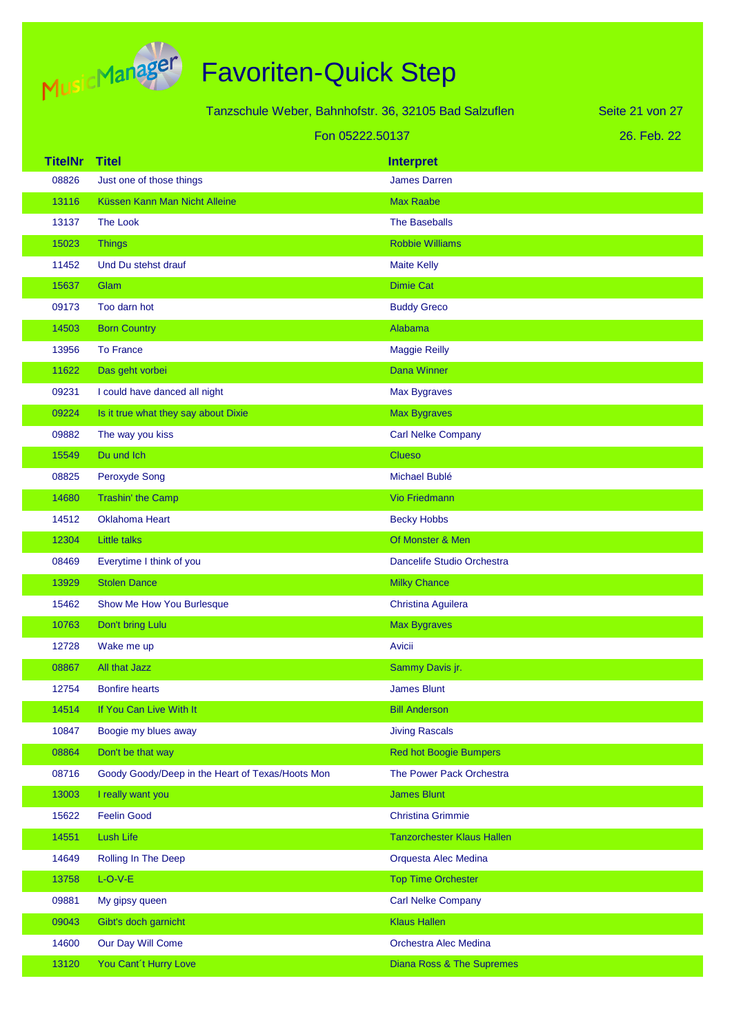

|                 |                                                  | Tanzschule Weber, Bahnhofstr. 36, 32105 Bad Salzuflen | Seite 21 von 27 |
|-----------------|--------------------------------------------------|-------------------------------------------------------|-----------------|
| Fon 05222.50137 |                                                  |                                                       | 26. Feb. 22     |
| <b>TitelNr</b>  | <b>Titel</b>                                     | <b>Interpret</b>                                      |                 |
| 08826           | Just one of those things                         | <b>James Darren</b>                                   |                 |
| 13116           | Küssen Kann Man Nicht Alleine                    | <b>Max Raabe</b>                                      |                 |
| 13137           | <b>The Look</b>                                  | <b>The Baseballs</b>                                  |                 |
| 15023           | <b>Things</b>                                    | <b>Robbie Williams</b>                                |                 |
| 11452           | Und Du stehst drauf                              | <b>Maite Kelly</b>                                    |                 |
| 15637           | Glam                                             | <b>Dimie Cat</b>                                      |                 |
| 09173           | Too darn hot                                     | <b>Buddy Greco</b>                                    |                 |
| 14503           | <b>Born Country</b>                              | Alabama                                               |                 |
| 13956           | <b>To France</b>                                 | <b>Maggie Reilly</b>                                  |                 |
| 11622           | Das geht vorbei                                  | Dana Winner                                           |                 |
| 09231           | I could have danced all night                    | Max Bygraves                                          |                 |
| 09224           | Is it true what they say about Dixie             | <b>Max Bygraves</b>                                   |                 |
| 09882           | The way you kiss                                 | <b>Carl Nelke Company</b>                             |                 |
| 15549           | Du und Ich                                       | <b>Clueso</b>                                         |                 |
| 08825           | Peroxyde Song                                    | Michael Bublé                                         |                 |
| 14680           | Trashin' the Camp                                | <b>Vio Friedmann</b>                                  |                 |
| 14512           | <b>Oklahoma Heart</b>                            | <b>Becky Hobbs</b>                                    |                 |
| 12304           | <b>Little talks</b>                              | Of Monster & Men                                      |                 |
| 08469           | Everytime I think of you                         | Dancelife Studio Orchestra                            |                 |
| 13929           | <b>Stolen Dance</b>                              | <b>Milky Chance</b>                                   |                 |
| 15462           | Show Me How You Burlesque                        | Christina Aguilera                                    |                 |
| 10763           | Don't bring Lulu                                 | <b>Max Bygraves</b>                                   |                 |
| 12728           | Wake me up                                       | Avicii                                                |                 |
| 08867           | All that Jazz                                    | Sammy Davis jr.                                       |                 |
| 12754           | <b>Bonfire hearts</b>                            | <b>James Blunt</b>                                    |                 |
| 14514           | If You Can Live With It                          | <b>Bill Anderson</b>                                  |                 |
| 10847           | Boogie my blues away                             | <b>Jiving Rascals</b>                                 |                 |
| 08864           | Don't be that way                                | <b>Red hot Boogie Bumpers</b>                         |                 |
| 08716           | Goody Goody/Deep in the Heart of Texas/Hoots Mon | The Power Pack Orchestra                              |                 |
| 13003           | I really want you                                | <b>James Blunt</b>                                    |                 |
| 15622           | <b>Feelin Good</b>                               | <b>Christina Grimmie</b>                              |                 |
| 14551           | Lush Life                                        | <b>Tanzorchester Klaus Hallen</b>                     |                 |
| 14649           | Rolling In The Deep                              | Orquesta Alec Medina                                  |                 |
| 13758           | $L-O-V-E$                                        | <b>Top Time Orchester</b>                             |                 |
| 09881           | My gipsy queen                                   | <b>Carl Nelke Company</b>                             |                 |
| 09043           | Gibt's doch garnicht                             | <b>Klaus Hallen</b>                                   |                 |
| 14600           | Our Day Will Come                                | Orchestra Alec Medina                                 |                 |
| 13120           | You Cant't Hurry Love                            | <b>Diana Ross &amp; The Supremes</b>                  |                 |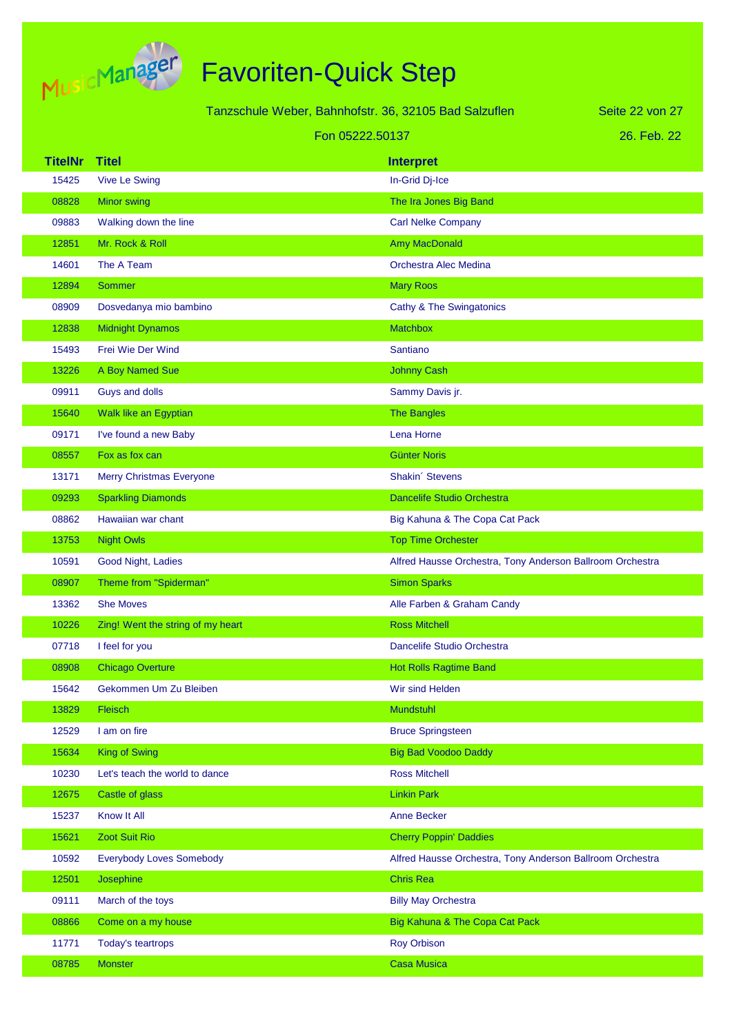

|                |                                   | Tanzschule Weber, Bahnhofstr. 36, 32105 Bad Salzuflen     | Seite 22 von 27 |
|----------------|-----------------------------------|-----------------------------------------------------------|-----------------|
|                |                                   | Fon 05222.50137                                           | 26. Feb. 22     |
| <b>TitelNr</b> | <b>Titel</b>                      | <b>Interpret</b>                                          |                 |
| 15425          | <b>Vive Le Swing</b>              | In-Grid Dj-Ice                                            |                 |
| 08828          | <b>Minor swing</b>                | The Ira Jones Big Band                                    |                 |
| 09883          | Walking down the line             | <b>Carl Nelke Company</b>                                 |                 |
| 12851          | Mr. Rock & Roll                   | Amy MacDonald                                             |                 |
| 14601          | The A Team                        | Orchestra Alec Medina                                     |                 |
| 12894          | <b>Sommer</b>                     | <b>Mary Roos</b>                                          |                 |
| 08909          | Dosvedanya mio bambino            | Cathy & The Swingatonics                                  |                 |
| 12838          | <b>Midnight Dynamos</b>           | <b>Matchbox</b>                                           |                 |
| 15493          | Frei Wie Der Wind                 | Santiano                                                  |                 |
| 13226          | A Boy Named Sue                   | <b>Johnny Cash</b>                                        |                 |
| 09911          | Guys and dolls                    | Sammy Davis jr.                                           |                 |
| 15640          | Walk like an Egyptian             | The Bangles                                               |                 |
| 09171          | I've found a new Baby             | Lena Horne                                                |                 |
| 08557          | Fox as fox can                    | <b>Günter Noris</b>                                       |                 |
| 13171          | <b>Merry Christmas Everyone</b>   | Shakin' Stevens                                           |                 |
| 09293          | <b>Sparkling Diamonds</b>         | <b>Dancelife Studio Orchestra</b>                         |                 |
| 08862          | Hawaiian war chant                | Big Kahuna & The Copa Cat Pack                            |                 |
| 13753          | <b>Night Owls</b>                 | <b>Top Time Orchester</b>                                 |                 |
| 10591          | Good Night, Ladies                | Alfred Hausse Orchestra, Tony Anderson Ballroom Orchestra |                 |
| 08907          | Theme from "Spiderman"            | <b>Simon Sparks</b>                                       |                 |
| 13362          | <b>She Moves</b>                  | Alle Farben & Graham Candy                                |                 |
| 10226          | Zing! Went the string of my heart | <b>Ross Mitchell</b>                                      |                 |
| 07718          | I feel for you                    | Dancelife Studio Orchestra                                |                 |
| 08908          | <b>Chicago Overture</b>           | <b>Hot Rolls Ragtime Band</b>                             |                 |
| 15642          | Gekommen Um Zu Bleiben            | Wir sind Helden                                           |                 |
| 13829          | Fleisch                           | Mundstuhl                                                 |                 |
| 12529          | I am on fire                      | <b>Bruce Springsteen</b>                                  |                 |
| 15634          | <b>King of Swing</b>              | <b>Big Bad Voodoo Daddy</b>                               |                 |
| 10230          | Let's teach the world to dance    | <b>Ross Mitchell</b>                                      |                 |
| 12675          | Castle of glass                   | <b>Linkin Park</b>                                        |                 |
| 15237          | Know It All                       | <b>Anne Becker</b>                                        |                 |
| 15621          | Zoot Suit Rio                     | <b>Cherry Poppin' Daddies</b>                             |                 |
| 10592          | <b>Everybody Loves Somebody</b>   | Alfred Hausse Orchestra, Tony Anderson Ballroom Orchestra |                 |
| 12501          | Josephine                         | <b>Chris Rea</b>                                          |                 |
| 09111          | March of the toys                 | <b>Billy May Orchestra</b>                                |                 |
| 08866          | Come on a my house                | Big Kahuna & The Copa Cat Pack                            |                 |
| 11771          | Today's teartrops                 | <b>Roy Orbison</b>                                        |                 |
| 08785          | <b>Monster</b>                    | <b>Casa Musica</b>                                        |                 |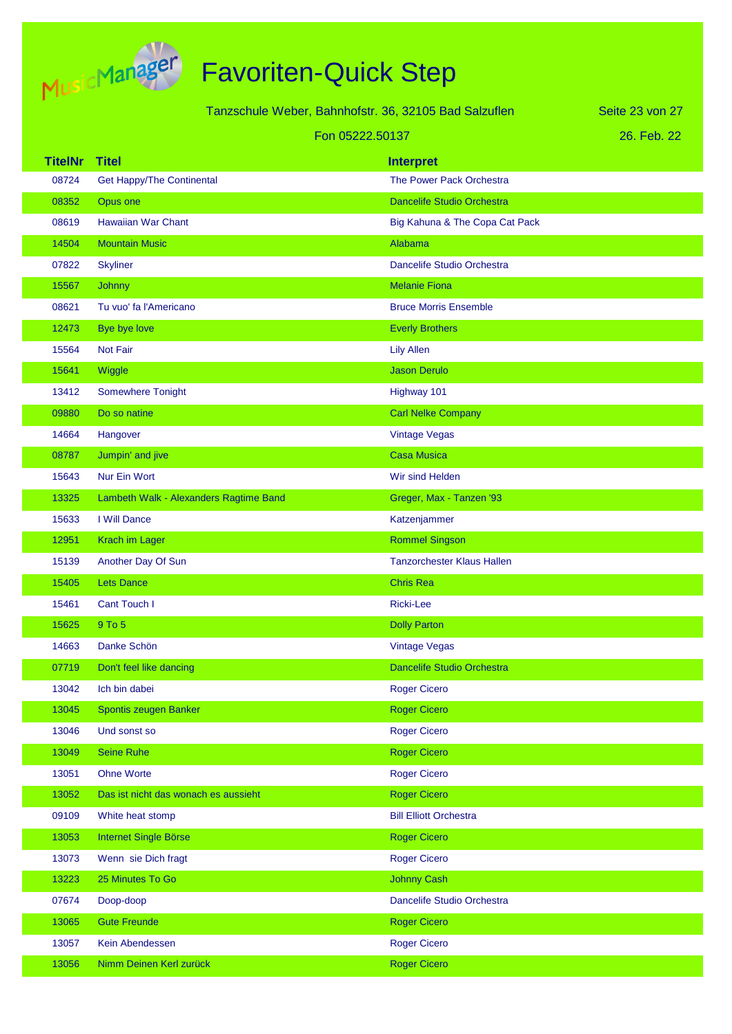

|                |                                        | Tanzschule Weber, Bahnhofstr. 36, 32105 Bad Salzuflen | Seite 23 von 27 |
|----------------|----------------------------------------|-------------------------------------------------------|-----------------|
|                |                                        | Fon 05222.50137                                       | 26. Feb. 22     |
| <b>TitelNr</b> | <b>Titel</b>                           | <b>Interpret</b>                                      |                 |
| 08724          | <b>Get Happy/The Continental</b>       | The Power Pack Orchestra                              |                 |
| 08352          | Opus one                               | <b>Dancelife Studio Orchestra</b>                     |                 |
| 08619          | <b>Hawaiian War Chant</b>              | Big Kahuna & The Copa Cat Pack                        |                 |
| 14504          | <b>Mountain Music</b>                  | Alabama                                               |                 |
| 07822          | <b>Skyliner</b>                        | Dancelife Studio Orchestra                            |                 |
| 15567          | Johnny                                 | <b>Melanie Fiona</b>                                  |                 |
| 08621          | Tu vuo' fa l'Americano                 | <b>Bruce Morris Ensemble</b>                          |                 |
| 12473          | Bye bye love                           | <b>Everly Brothers</b>                                |                 |
| 15564          | Not Fair                               | <b>Lily Allen</b>                                     |                 |
| 15641          | Wiggle                                 | <b>Jason Derulo</b>                                   |                 |
| 13412          | <b>Somewhere Tonight</b>               | Highway 101                                           |                 |
| 09880          | Do so natine                           | <b>Carl Nelke Company</b>                             |                 |
| 14664          | Hangover                               | <b>Vintage Vegas</b>                                  |                 |
| 08787          | Jumpin' and jive                       | <b>Casa Musica</b>                                    |                 |
| 15643          | <b>Nur Ein Wort</b>                    | Wir sind Helden                                       |                 |
| 13325          | Lambeth Walk - Alexanders Ragtime Band | Greger, Max - Tanzen '93                              |                 |
| 15633          | I Will Dance                           | Katzenjammer                                          |                 |
| 12951          | Krach im Lager                         | <b>Rommel Singson</b>                                 |                 |
| 15139          | Another Day Of Sun                     | <b>Tanzorchester Klaus Hallen</b>                     |                 |
| 15405          | <b>Lets Dance</b>                      | <b>Chris Rea</b>                                      |                 |
| 15461          | Cant Touch I                           | <b>Ricki-Lee</b>                                      |                 |
| 15625          | 9 To 5                                 | <b>Dolly Parton</b>                                   |                 |
| 14663          | Danke Schön                            | <b>Vintage Vegas</b>                                  |                 |
| 07719          | Don't feel like dancing                | Dancelife Studio Orchestra                            |                 |
| 13042          | Ich bin dabei                          | <b>Roger Cicero</b>                                   |                 |
| 13045          | Spontis zeugen Banker                  | <b>Roger Cicero</b>                                   |                 |
| 13046          | Und sonst so                           | <b>Roger Cicero</b>                                   |                 |
| 13049          | <b>Seine Ruhe</b>                      | <b>Roger Cicero</b>                                   |                 |
| 13051          | <b>Ohne Worte</b>                      | <b>Roger Cicero</b>                                   |                 |
| 13052          | Das ist nicht das wonach es aussieht   | <b>Roger Cicero</b>                                   |                 |
| 09109          | White heat stomp                       | <b>Bill Elliott Orchestra</b>                         |                 |
| 13053          | Internet Single Börse                  | <b>Roger Cicero</b>                                   |                 |
| 13073          | Wenn sie Dich fragt                    | <b>Roger Cicero</b>                                   |                 |
| 13223          | 25 Minutes To Go                       | <b>Johnny Cash</b>                                    |                 |
| 07674          | Doop-doop                              | Dancelife Studio Orchestra                            |                 |
| 13065          | <b>Gute Freunde</b>                    | <b>Roger Cicero</b>                                   |                 |
| 13057          | Kein Abendessen                        | <b>Roger Cicero</b>                                   |                 |
| 13056          | Nimm Deinen Kerl zurück                | <b>Roger Cicero</b>                                   |                 |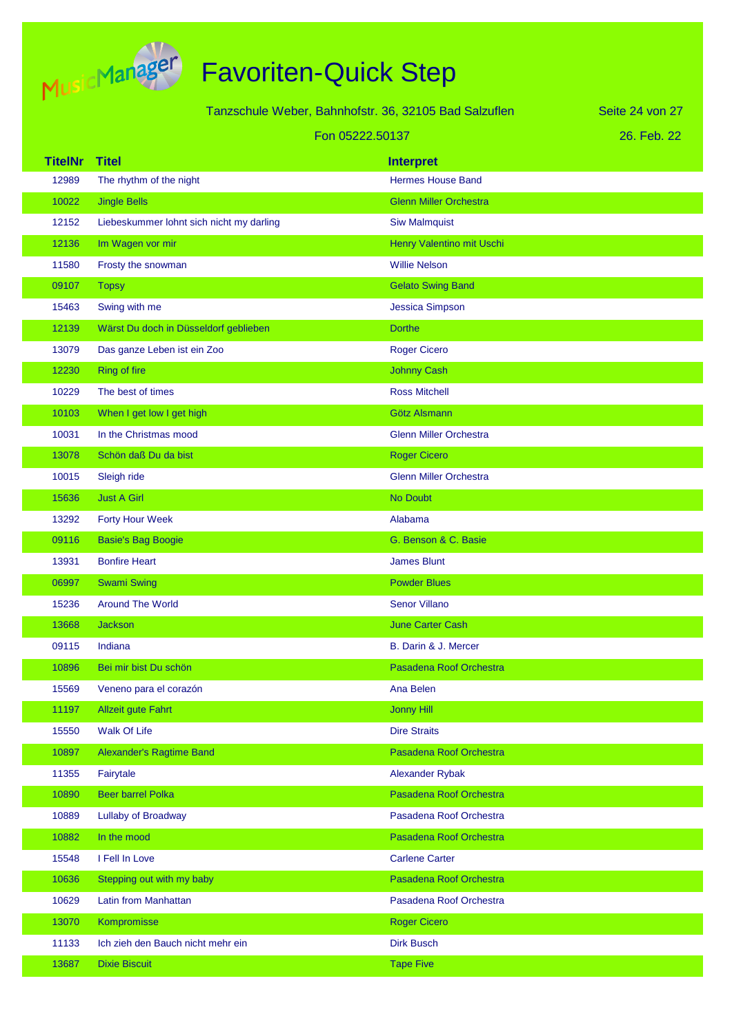

|                | Tanzschule Weber, Bahnhofstr. 36, 32105 Bad Salzuflen |                               | Seite 24 von 27 |
|----------------|-------------------------------------------------------|-------------------------------|-----------------|
|                | Fon 05222.50137                                       |                               | 26. Feb. 22     |
| <b>TitelNr</b> | <b>Titel</b>                                          | <b>Interpret</b>              |                 |
| 12989          | The rhythm of the night                               | <b>Hermes House Band</b>      |                 |
| 10022          | <b>Jingle Bells</b>                                   | <b>Glenn Miller Orchestra</b> |                 |
| 12152          | Liebeskummer lohnt sich nicht my darling              | <b>Siw Malmquist</b>          |                 |
| 12136          | Im Wagen vor mir                                      | Henry Valentino mit Uschi     |                 |
| 11580          | Frosty the snowman                                    | <b>Willie Nelson</b>          |                 |
| 09107          | <b>Topsy</b>                                          | <b>Gelato Swing Band</b>      |                 |
| 15463          | Swing with me                                         | <b>Jessica Simpson</b>        |                 |
| 12139          | Wärst Du doch in Düsseldorf geblieben                 | <b>Dorthe</b>                 |                 |
| 13079          | Das ganze Leben ist ein Zoo                           | <b>Roger Cicero</b>           |                 |
| 12230          | <b>Ring of fire</b>                                   | <b>Johnny Cash</b>            |                 |
| 10229          | The best of times                                     | <b>Ross Mitchell</b>          |                 |
| 10103          | When I get low I get high                             | Götz Alsmann                  |                 |
| 10031          | In the Christmas mood                                 | <b>Glenn Miller Orchestra</b> |                 |
| 13078          | Schön daß Du da bist                                  | <b>Roger Cicero</b>           |                 |
| 10015          | Sleigh ride                                           | <b>Glenn Miller Orchestra</b> |                 |
| 15636          | <b>Just A Girl</b>                                    | No Doubt                      |                 |
| 13292          | <b>Forty Hour Week</b>                                | Alabama                       |                 |
| 09116          | <b>Basie's Bag Boogie</b>                             | G. Benson & C. Basie          |                 |
| 13931          | <b>Bonfire Heart</b>                                  | <b>James Blunt</b>            |                 |
| 06997          | <b>Swami Swing</b>                                    | <b>Powder Blues</b>           |                 |
| 15236          | <b>Around The World</b>                               | <b>Senor Villano</b>          |                 |
| 13668          | <b>Jackson</b>                                        | <b>June Carter Cash</b>       |                 |
| 09115          | Indiana                                               | B. Darin & J. Mercer          |                 |
| 10896          | Bei mir bist Du schön                                 | Pasadena Roof Orchestra       |                 |
| 15569          | Veneno para el corazón                                | Ana Belen                     |                 |
| 11197          | <b>Allzeit gute Fahrt</b>                             | <b>Jonny Hill</b>             |                 |
| 15550          | Walk Of Life                                          | <b>Dire Straits</b>           |                 |
| 10897          | Alexander's Ragtime Band                              | Pasadena Roof Orchestra       |                 |
| 11355          | Fairytale                                             | Alexander Rybak               |                 |
| 10890          | <b>Beer barrel Polka</b>                              | Pasadena Roof Orchestra       |                 |
| 10889          | Lullaby of Broadway                                   | Pasadena Roof Orchestra       |                 |
| 10882          | In the mood                                           | Pasadena Roof Orchestra       |                 |
| 15548          | I Fell In Love                                        | <b>Carlene Carter</b>         |                 |
| 10636          | Stepping out with my baby                             | Pasadena Roof Orchestra       |                 |
| 10629          | Latin from Manhattan                                  | Pasadena Roof Orchestra       |                 |
| 13070          | Kompromisse                                           | <b>Roger Cicero</b>           |                 |
| 11133          | Ich zieh den Bauch nicht mehr ein                     | <b>Dirk Busch</b>             |                 |
| 13687          | <b>Dixie Biscuit</b>                                  | <b>Tape Five</b>              |                 |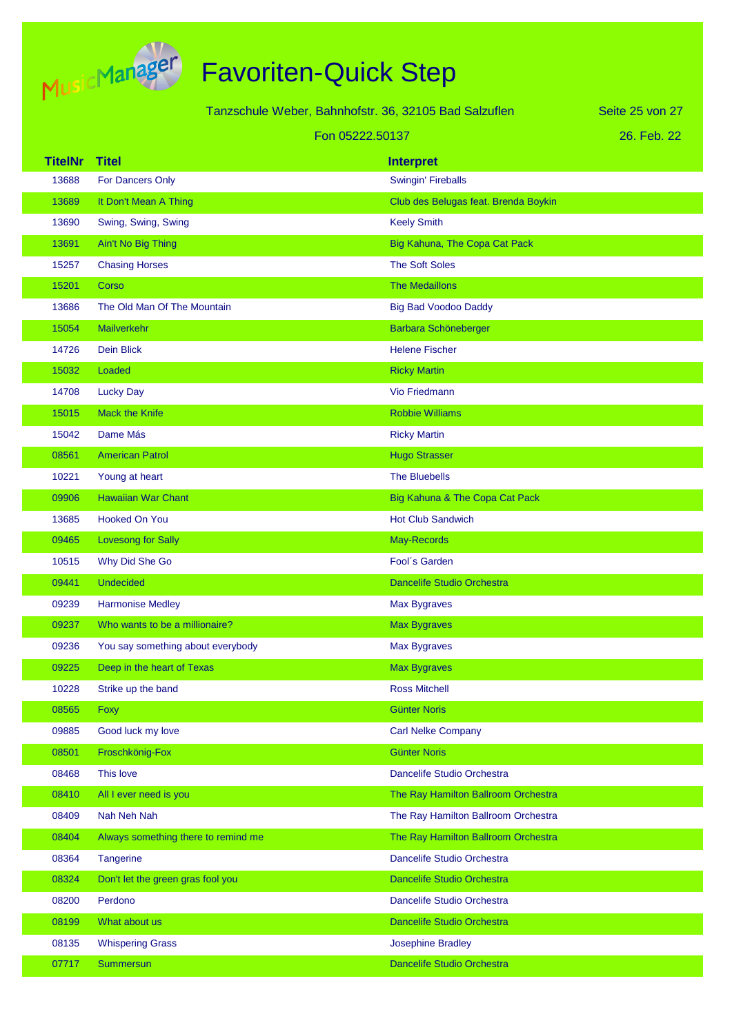

| Tanzschule Weber, Bahnhofstr. 36, 32105 Bad Salzuflen |                                     |                                      | Seite 25 von 27 |
|-------------------------------------------------------|-------------------------------------|--------------------------------------|-----------------|
|                                                       | Fon 05222.50137                     |                                      | 26. Feb. 22     |
| <b>TitelNr</b>                                        | <b>Titel</b>                        | <b>Interpret</b>                     |                 |
| 13688                                                 | For Dancers Only                    | <b>Swingin' Fireballs</b>            |                 |
| 13689                                                 | It Don't Mean A Thing               | Club des Belugas feat. Brenda Boykin |                 |
| 13690                                                 | Swing, Swing, Swing                 | <b>Keely Smith</b>                   |                 |
| 13691                                                 | Ain't No Big Thing                  | Big Kahuna, The Copa Cat Pack        |                 |
| 15257                                                 | <b>Chasing Horses</b>               | <b>The Soft Soles</b>                |                 |
| 15201                                                 | Corso                               | <b>The Medaillons</b>                |                 |
| 13686                                                 | The Old Man Of The Mountain         | <b>Big Bad Voodoo Daddy</b>          |                 |
| 15054                                                 | Mailverkehr                         | Barbara Schöneberger                 |                 |
| 14726                                                 | <b>Dein Blick</b>                   | <b>Helene Fischer</b>                |                 |
| 15032                                                 | Loaded                              | <b>Ricky Martin</b>                  |                 |
| 14708                                                 | <b>Lucky Day</b>                    | <b>Vio Friedmann</b>                 |                 |
| 15015                                                 | <b>Mack the Knife</b>               | <b>Robbie Williams</b>               |                 |
| 15042                                                 | Dame Más                            | <b>Ricky Martin</b>                  |                 |
| 08561                                                 | <b>American Patrol</b>              | <b>Hugo Strasser</b>                 |                 |
| 10221                                                 | Young at heart                      | <b>The Bluebells</b>                 |                 |
| 09906                                                 | <b>Hawaiian War Chant</b>           | Big Kahuna & The Copa Cat Pack       |                 |
| 13685                                                 | <b>Hooked On You</b>                | <b>Hot Club Sandwich</b>             |                 |
| 09465                                                 | Lovesong for Sally                  | May-Records                          |                 |
| 10515                                                 | Why Did She Go                      | Fool's Garden                        |                 |
| 09441                                                 | <b>Undecided</b>                    | <b>Dancelife Studio Orchestra</b>    |                 |
| 09239                                                 | <b>Harmonise Medley</b>             | Max Bygraves                         |                 |
| 09237                                                 | Who wants to be a millionaire?      | <b>Max Bygraves</b>                  |                 |
| 09236                                                 | You say something about everybody   | Max Bygraves                         |                 |
| 09225                                                 | Deep in the heart of Texas          | <b>Max Bygraves</b>                  |                 |
| 10228                                                 | Strike up the band                  | <b>Ross Mitchell</b>                 |                 |
| 08565                                                 | Foxy                                | <b>Günter Noris</b>                  |                 |
| 09885                                                 | Good luck my love                   | <b>Carl Nelke Company</b>            |                 |
| 08501                                                 | Froschkönig-Fox                     | <b>Günter Noris</b>                  |                 |
| 08468                                                 | This love                           | Dancelife Studio Orchestra           |                 |
| 08410                                                 | All I ever need is you              | The Ray Hamilton Ballroom Orchestra  |                 |
| 08409                                                 | Nah Neh Nah                         | The Ray Hamilton Ballroom Orchestra  |                 |
| 08404                                                 | Always something there to remind me | The Ray Hamilton Ballroom Orchestra  |                 |
| 08364                                                 | <b>Tangerine</b>                    | Dancelife Studio Orchestra           |                 |
| 08324                                                 | Don't let the green gras fool you   | Dancelife Studio Orchestra           |                 |
| 08200                                                 | Perdono                             | Dancelife Studio Orchestra           |                 |
| 08199                                                 | What about us                       | Dancelife Studio Orchestra           |                 |
| 08135                                                 | <b>Whispering Grass</b>             | <b>Josephine Bradley</b>             |                 |
| 07717                                                 | Summersun                           | Dancelife Studio Orchestra           |                 |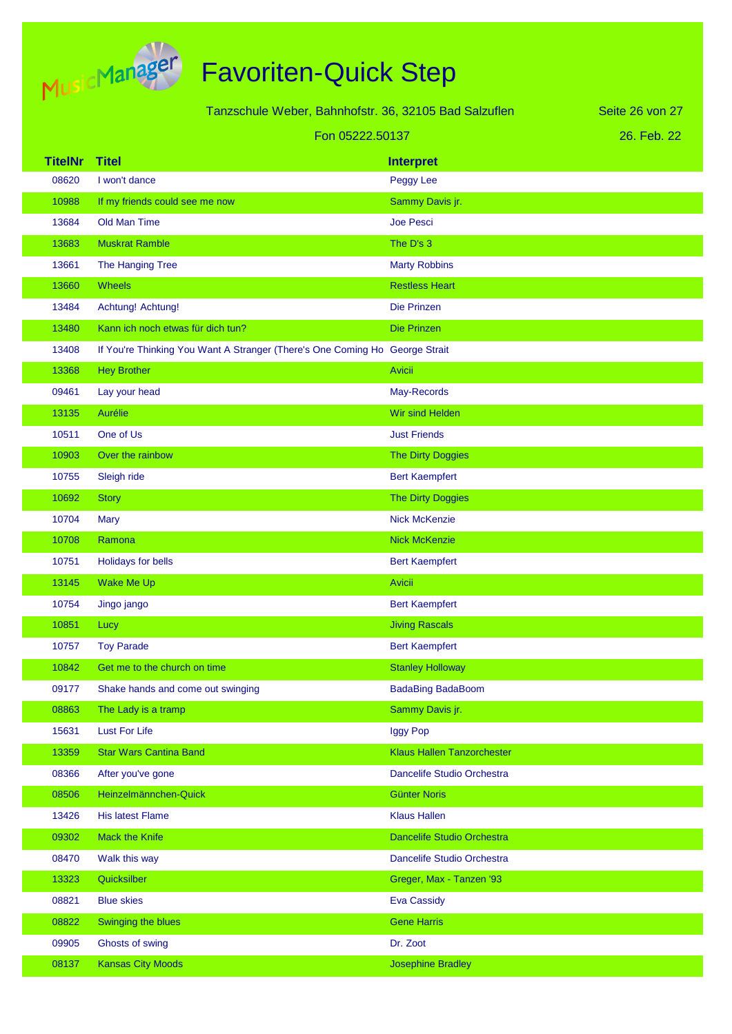

| Tanzschule Weber, Bahnhofstr. 36, 32105 Bad Salzuflen |                                                                             |                                   | Seite 26 von 27 |
|-------------------------------------------------------|-----------------------------------------------------------------------------|-----------------------------------|-----------------|
|                                                       | Fon 05222.50137                                                             |                                   | 26. Feb. 22     |
| <b>TitelNr</b>                                        | <b>Titel</b>                                                                | <b>Interpret</b>                  |                 |
| 08620                                                 | I won't dance                                                               | Peggy Lee                         |                 |
| 10988                                                 | If my friends could see me now                                              | Sammy Davis jr.                   |                 |
| 13684                                                 | Old Man Time                                                                | <b>Joe Pesci</b>                  |                 |
| 13683                                                 | <b>Muskrat Ramble</b>                                                       | The D's 3                         |                 |
| 13661                                                 | The Hanging Tree                                                            | <b>Marty Robbins</b>              |                 |
| 13660                                                 | <b>Wheels</b>                                                               | <b>Restless Heart</b>             |                 |
| 13484                                                 | Achtung! Achtung!                                                           | Die Prinzen                       |                 |
| 13480                                                 | Kann ich noch etwas für dich tun?                                           | <b>Die Prinzen</b>                |                 |
| 13408                                                 | If You're Thinking You Want A Stranger (There's One Coming Ho George Strait |                                   |                 |
| 13368                                                 | <b>Hey Brother</b>                                                          | <b>Avicii</b>                     |                 |
| 09461                                                 | Lay your head                                                               | May-Records                       |                 |
| 13135                                                 | Aurélie                                                                     | Wir sind Helden                   |                 |
| 10511                                                 | One of Us                                                                   | <b>Just Friends</b>               |                 |
| 10903                                                 | Over the rainbow                                                            | The Dirty Doggies                 |                 |
| 10755                                                 | Sleigh ride                                                                 | <b>Bert Kaempfert</b>             |                 |
| 10692                                                 | <b>Story</b>                                                                | <b>The Dirty Doggies</b>          |                 |
| 10704                                                 | Mary                                                                        | <b>Nick McKenzie</b>              |                 |
| 10708                                                 | Ramona                                                                      | <b>Nick McKenzie</b>              |                 |
| 10751                                                 | Holidays for bells                                                          | <b>Bert Kaempfert</b>             |                 |
| 13145                                                 | Wake Me Up                                                                  | <b>Avicii</b>                     |                 |
| 10754                                                 | Jingo jango                                                                 | <b>Bert Kaempfert</b>             |                 |
| 10851                                                 | Lucy                                                                        | <b>Jiving Rascals</b>             |                 |
| 10757                                                 | <b>Toy Parade</b>                                                           | <b>Bert Kaempfert</b>             |                 |
| 10842                                                 | Get me to the church on time                                                | <b>Stanley Holloway</b>           |                 |
| 09177                                                 | Shake hands and come out swinging                                           | <b>BadaBing BadaBoom</b>          |                 |
| 08863                                                 | The Lady is a tramp                                                         | Sammy Davis jr.                   |                 |
| 15631                                                 | <b>Lust For Life</b>                                                        | Iggy Pop                          |                 |
| 13359                                                 | <b>Star Wars Cantina Band</b>                                               | <b>Klaus Hallen Tanzorchester</b> |                 |
| 08366                                                 | After you've gone                                                           | Dancelife Studio Orchestra        |                 |
| 08506                                                 | Heinzelmännchen-Quick                                                       | <b>Günter Noris</b>               |                 |
| 13426                                                 | <b>His latest Flame</b>                                                     | <b>Klaus Hallen</b>               |                 |
| 09302                                                 | <b>Mack the Knife</b>                                                       | <b>Dancelife Studio Orchestra</b> |                 |
| 08470                                                 | Walk this way                                                               | Dancelife Studio Orchestra        |                 |
| 13323                                                 | Quicksilber                                                                 | Greger, Max - Tanzen '93          |                 |
| 08821                                                 | <b>Blue skies</b>                                                           | <b>Eva Cassidy</b>                |                 |
| 08822                                                 | Swinging the blues                                                          | <b>Gene Harris</b>                |                 |
| 09905                                                 | Ghosts of swing                                                             | Dr. Zoot                          |                 |
| 08137                                                 | <b>Kansas City Moods</b>                                                    | <b>Josephine Bradley</b>          |                 |